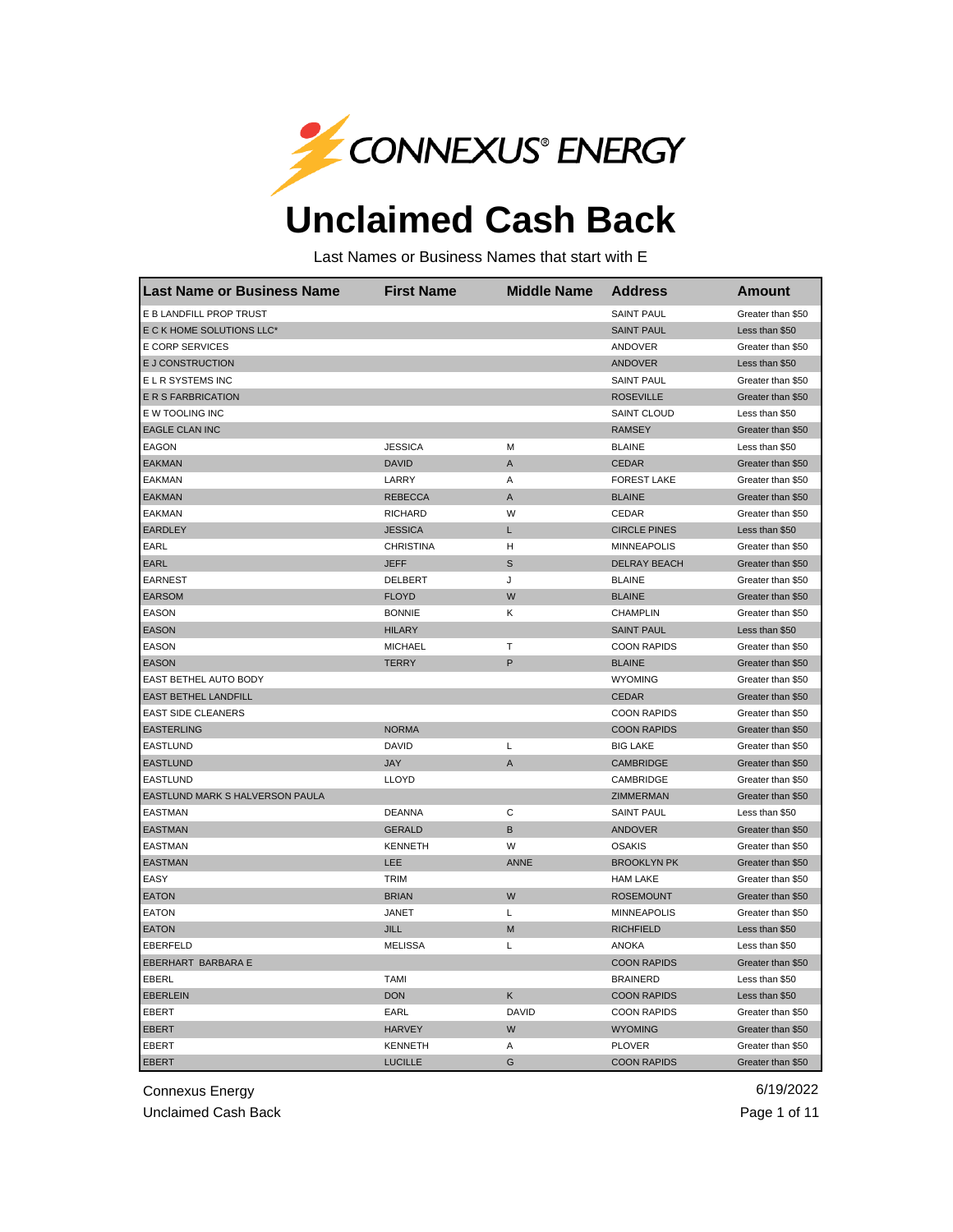

## **Unclaimed Cash Back**

Last Names or Business Names that start with E

| <b>Last Name or Business Name</b> | <b>First Name</b> | <b>Middle Name</b> | <b>Address</b>      | <b>Amount</b>     |
|-----------------------------------|-------------------|--------------------|---------------------|-------------------|
| E B LANDFILL PROP TRUST           |                   |                    | <b>SAINT PAUL</b>   | Greater than \$50 |
| E C K HOME SOLUTIONS LLC*         |                   |                    | <b>SAINT PAUL</b>   | Less than \$50    |
| E CORP SERVICES                   |                   |                    | ANDOVER             | Greater than \$50 |
| E J CONSTRUCTION                  |                   |                    | <b>ANDOVER</b>      | Less than \$50    |
| E L R SYSTEMS INC                 |                   |                    | <b>SAINT PAUL</b>   | Greater than \$50 |
| E R S FARBRICATION                |                   |                    | <b>ROSEVILLE</b>    | Greater than \$50 |
| E W TOOLING INC                   |                   |                    | SAINT CLOUD         | Less than \$50    |
| <b>EAGLE CLAN INC</b>             |                   |                    | <b>RAMSEY</b>       | Greater than \$50 |
| EAGON                             | <b>JESSICA</b>    | М                  | <b>BLAINE</b>       | Less than \$50    |
| <b>EAKMAN</b>                     | <b>DAVID</b>      | A                  | <b>CEDAR</b>        | Greater than \$50 |
| EAKMAN                            | LARRY             | Α                  | <b>FOREST LAKE</b>  | Greater than \$50 |
| <b>EAKMAN</b>                     | <b>REBECCA</b>    | A                  | <b>BLAINE</b>       | Greater than \$50 |
| <b>EAKMAN</b>                     | <b>RICHARD</b>    | W                  | CEDAR               | Greater than \$50 |
| <b>EARDLEY</b>                    | <b>JESSICA</b>    | Г                  | <b>CIRCLE PINES</b> | Less than \$50    |
| EARL                              | <b>CHRISTINA</b>  | н                  | <b>MINNEAPOLIS</b>  | Greater than \$50 |
| EARL                              | <b>JEFF</b>       | S                  | DELRAY BEACH        | Greater than \$50 |
| <b>EARNEST</b>                    | DELBERT           | J                  | <b>BLAINE</b>       | Greater than \$50 |
| <b>EARSOM</b>                     | <b>FLOYD</b>      | W                  | <b>BLAINE</b>       | Greater than \$50 |
| EASON                             | <b>BONNIE</b>     | Κ                  | CHAMPLIN            | Greater than \$50 |
| <b>EASON</b>                      | <b>HILARY</b>     |                    | <b>SAINT PAUL</b>   | Less than \$50    |
| <b>EASON</b>                      | <b>MICHAEL</b>    | T                  | <b>COON RAPIDS</b>  | Greater than \$50 |
| <b>EASON</b>                      | <b>TERRY</b>      | P                  | <b>BLAINE</b>       | Greater than \$50 |
| EAST BETHEL AUTO BODY             |                   |                    | <b>WYOMING</b>      | Greater than \$50 |
| EAST BETHEL LANDFILL              |                   |                    | <b>CEDAR</b>        | Greater than \$50 |
| <b>EAST SIDE CLEANERS</b>         |                   |                    | <b>COON RAPIDS</b>  | Greater than \$50 |
| <b>EASTERLING</b>                 | <b>NORMA</b>      |                    | <b>COON RAPIDS</b>  | Greater than \$50 |
| <b>EASTLUND</b>                   | <b>DAVID</b>      | L                  | <b>BIG LAKE</b>     | Greater than \$50 |
| <b>EASTLUND</b>                   | <b>JAY</b>        | A                  | CAMBRIDGE           | Greater than \$50 |
| EASTLUND                          | LLOYD             |                    | CAMBRIDGE           | Greater than \$50 |
| EASTLUND MARK S HALVERSON PAULA   |                   |                    | ZIMMERMAN           | Greater than \$50 |
| <b>EASTMAN</b>                    | <b>DEANNA</b>     | C                  | <b>SAINT PAUL</b>   | Less than \$50    |
| <b>EASTMAN</b>                    | <b>GERALD</b>     | B                  | <b>ANDOVER</b>      | Greater than \$50 |
| <b>EASTMAN</b>                    | <b>KENNETH</b>    | W                  | <b>OSAKIS</b>       | Greater than \$50 |
| <b>EASTMAN</b>                    | LEE               | <b>ANNE</b>        | <b>BROOKLYN PK</b>  | Greater than \$50 |
| EASY                              | <b>TRIM</b>       |                    | <b>HAM LAKE</b>     | Greater than \$50 |
| <b>EATON</b>                      | <b>BRIAN</b>      | W                  | <b>ROSEMOUNT</b>    | Greater than \$50 |
| <b>EATON</b>                      | <b>JANET</b>      | Г                  | <b>MINNEAPOLIS</b>  | Greater than \$50 |
| <b>EATON</b>                      | JILL              | M                  | <b>RICHFIELD</b>    | Less than \$50    |
| <b>EBERFELD</b>                   | <b>MELISSA</b>    | L                  | <b>ANOKA</b>        | Less than \$50    |
| EBERHART BARBARA E                |                   |                    | <b>COON RAPIDS</b>  | Greater than \$50 |
| EBERL                             | <b>TAMI</b>       |                    | <b>BRAINERD</b>     | Less than \$50    |
| <b>EBERLEIN</b>                   | <b>DON</b>        | Κ                  | <b>COON RAPIDS</b>  | Less than \$50    |
| EBERT                             | EARL              | DAVID              | <b>COON RAPIDS</b>  | Greater than \$50 |
| <b>EBERT</b>                      | <b>HARVEY</b>     | W                  | <b>WYOMING</b>      | Greater than \$50 |
| EBERT                             | <b>KENNETH</b>    | Α                  | <b>PLOVER</b>       | Greater than \$50 |
| <b>EBERT</b>                      | <b>LUCILLE</b>    | G                  | <b>COON RAPIDS</b>  | Greater than \$50 |

Connexus Energy 6/19/2022

Unclaimed Cash Back **Page 1 of 11** and the Unclaimed Cash Back Page 1 of 11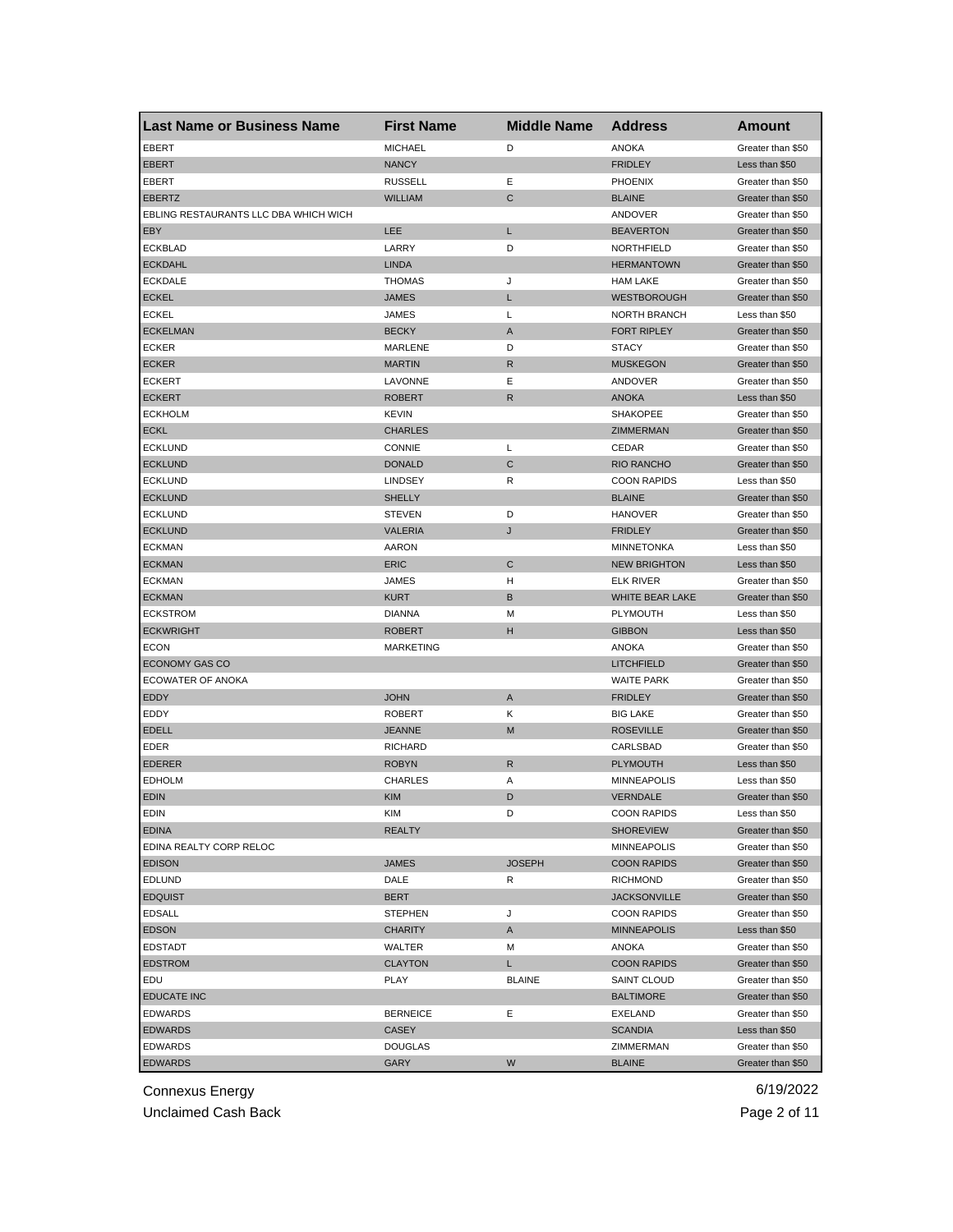| <b>Last Name or Business Name</b>     | <b>First Name</b> | <b>Middle Name</b> | <b>Address</b>      | <b>Amount</b>     |
|---------------------------------------|-------------------|--------------------|---------------------|-------------------|
| <b>EBERT</b>                          | <b>MICHAEL</b>    | D                  | <b>ANOKA</b>        | Greater than \$50 |
| <b>EBERT</b>                          | <b>NANCY</b>      |                    | <b>FRIDLEY</b>      | Less than \$50    |
| EBERT                                 | <b>RUSSELL</b>    | Ε                  | <b>PHOENIX</b>      | Greater than \$50 |
| <b>EBERTZ</b>                         | <b>WILLIAM</b>    | $\mathsf{C}$       | <b>BLAINE</b>       | Greater than \$50 |
| EBLING RESTAURANTS LLC DBA WHICH WICH |                   |                    | ANDOVER             | Greater than \$50 |
| EBY                                   | LEE               | L                  | <b>BEAVERTON</b>    | Greater than \$50 |
| <b>ECKBLAD</b>                        | LARRY             | D                  | NORTHFIELD          | Greater than \$50 |
| <b>ECKDAHL</b>                        | <b>LINDA</b>      |                    | <b>HERMANTOWN</b>   | Greater than \$50 |
| <b>ECKDALE</b>                        | <b>THOMAS</b>     | J                  | <b>HAM LAKE</b>     | Greater than \$50 |
| <b>ECKEL</b>                          | <b>JAMES</b>      | L                  | <b>WESTBOROUGH</b>  | Greater than \$50 |
| <b>ECKEL</b>                          | JAMES             | L                  | <b>NORTH BRANCH</b> | Less than \$50    |
| <b>ECKELMAN</b>                       | <b>BECKY</b>      | A                  | <b>FORT RIPLEY</b>  | Greater than \$50 |
| <b>ECKER</b>                          | MARLENE           | D                  | <b>STACY</b>        | Greater than \$50 |
| <b>ECKER</b>                          | <b>MARTIN</b>     | R                  | <b>MUSKEGON</b>     | Greater than \$50 |
| <b>ECKERT</b>                         | LAVONNE           | Ε                  | ANDOVER             | Greater than \$50 |
| <b>ECKERT</b>                         | <b>ROBERT</b>     | R                  | <b>ANOKA</b>        | Less than \$50    |
| <b>ECKHOLM</b>                        | <b>KEVIN</b>      |                    | <b>SHAKOPEE</b>     | Greater than \$50 |
| <b>ECKL</b>                           | <b>CHARLES</b>    |                    | ZIMMERMAN           | Greater than \$50 |
| <b>ECKLUND</b>                        | <b>CONNIE</b>     | L                  | CEDAR               | Greater than \$50 |
| <b>ECKLUND</b>                        | <b>DONALD</b>     | C                  | <b>RIO RANCHO</b>   | Greater than \$50 |
| <b>ECKLUND</b>                        | <b>LINDSEY</b>    | R                  | <b>COON RAPIDS</b>  | Less than \$50    |
| <b>ECKLUND</b>                        | <b>SHELLY</b>     |                    | <b>BLAINE</b>       | Greater than \$50 |
| <b>ECKLUND</b>                        | <b>STEVEN</b>     | D                  | <b>HANOVER</b>      | Greater than \$50 |
| <b>ECKLUND</b>                        | <b>VALERIA</b>    | J                  | <b>FRIDLEY</b>      | Greater than \$50 |
| <b>ECKMAN</b>                         | <b>AARON</b>      |                    | <b>MINNETONKA</b>   | Less than \$50    |
| <b>ECKMAN</b>                         | <b>ERIC</b>       | C                  | <b>NEW BRIGHTON</b> | Less than \$50    |
| <b>ECKMAN</b>                         | JAMES             | н                  | <b>ELK RIVER</b>    | Greater than \$50 |
| <b>ECKMAN</b>                         | <b>KURT</b>       | B                  | WHITE BEAR LAKE     | Greater than \$50 |
| <b>ECKSTROM</b>                       | <b>DIANNA</b>     | М                  | PLYMOUTH            | Less than \$50    |
| <b>ECKWRIGHT</b>                      | <b>ROBERT</b>     | н                  | <b>GIBBON</b>       | Less than \$50    |
| <b>ECON</b>                           | <b>MARKETING</b>  |                    | <b>ANOKA</b>        | Greater than \$50 |
| <b>ECONOMY GAS CO</b>                 |                   |                    | <b>LITCHFIELD</b>   | Greater than \$50 |
| <b>ECOWATER OF ANOKA</b>              |                   |                    | <b>WAITE PARK</b>   | Greater than \$50 |
| EDDY                                  | <b>JOHN</b>       | A                  | <b>FRIDLEY</b>      | Greater than \$50 |
| EDDY                                  | <b>ROBERT</b>     | Κ                  | <b>BIG LAKE</b>     | Greater than \$50 |
| <b>EDELL</b>                          | <b>JEANNE</b>     | M                  | <b>ROSEVILLE</b>    | Greater than \$50 |
| EDER                                  | <b>RICHARD</b>    |                    | CARLSBAD            | Greater than \$50 |
| <b>EDERER</b>                         | <b>ROBYN</b>      | R                  | <b>PLYMOUTH</b>     | Less than \$50    |
| <b>EDHOLM</b>                         | <b>CHARLES</b>    | Α                  | <b>MINNEAPOLIS</b>  | Less than \$50    |
| <b>EDIN</b>                           | <b>KIM</b>        | D                  | <b>VERNDALE</b>     | Greater than \$50 |
| EDIN                                  | KIM               |                    | <b>COON RAPIDS</b>  | Less than \$50    |
| <b>EDINA</b>                          | <b>REALTY</b>     |                    | <b>SHOREVIEW</b>    | Greater than \$50 |
| EDINA REALTY CORP RELOC               |                   |                    | <b>MINNEAPOLIS</b>  | Greater than \$50 |
| <b>EDISON</b>                         | <b>JAMES</b>      | <b>JOSEPH</b>      | <b>COON RAPIDS</b>  | Greater than \$50 |
| <b>EDLUND</b>                         | DALE              | R                  | <b>RICHMOND</b>     | Greater than \$50 |
| <b>EDQUIST</b>                        | <b>BERT</b>       |                    | <b>JACKSONVILLE</b> | Greater than \$50 |
| <b>EDSALL</b>                         | <b>STEPHEN</b>    | J                  | <b>COON RAPIDS</b>  | Greater than \$50 |
| <b>EDSON</b>                          | <b>CHARITY</b>    | A                  | <b>MINNEAPOLIS</b>  | Less than \$50    |
| <b>EDSTADT</b>                        | WALTER            | M                  | ANOKA               | Greater than \$50 |
| <b>EDSTROM</b>                        | <b>CLAYTON</b>    | L.                 | <b>COON RAPIDS</b>  | Greater than \$50 |
| EDU                                   | PLAY              | <b>BLAINE</b>      | SAINT CLOUD         | Greater than \$50 |
| EDUCATE INC                           |                   |                    | <b>BALTIMORE</b>    | Greater than \$50 |
| <b>EDWARDS</b>                        | <b>BERNEICE</b>   | Ε                  | EXELAND             | Greater than \$50 |
| <b>EDWARDS</b>                        | <b>CASEY</b>      |                    | <b>SCANDIA</b>      | Less than \$50    |
| <b>EDWARDS</b>                        | <b>DOUGLAS</b>    |                    | ZIMMERMAN           | Greater than \$50 |
| <b>EDWARDS</b>                        | GARY              | W                  | <b>BLAINE</b>       | Greater than \$50 |
|                                       |                   |                    |                     |                   |

Unclaimed Cash Back **Page 2 of 11**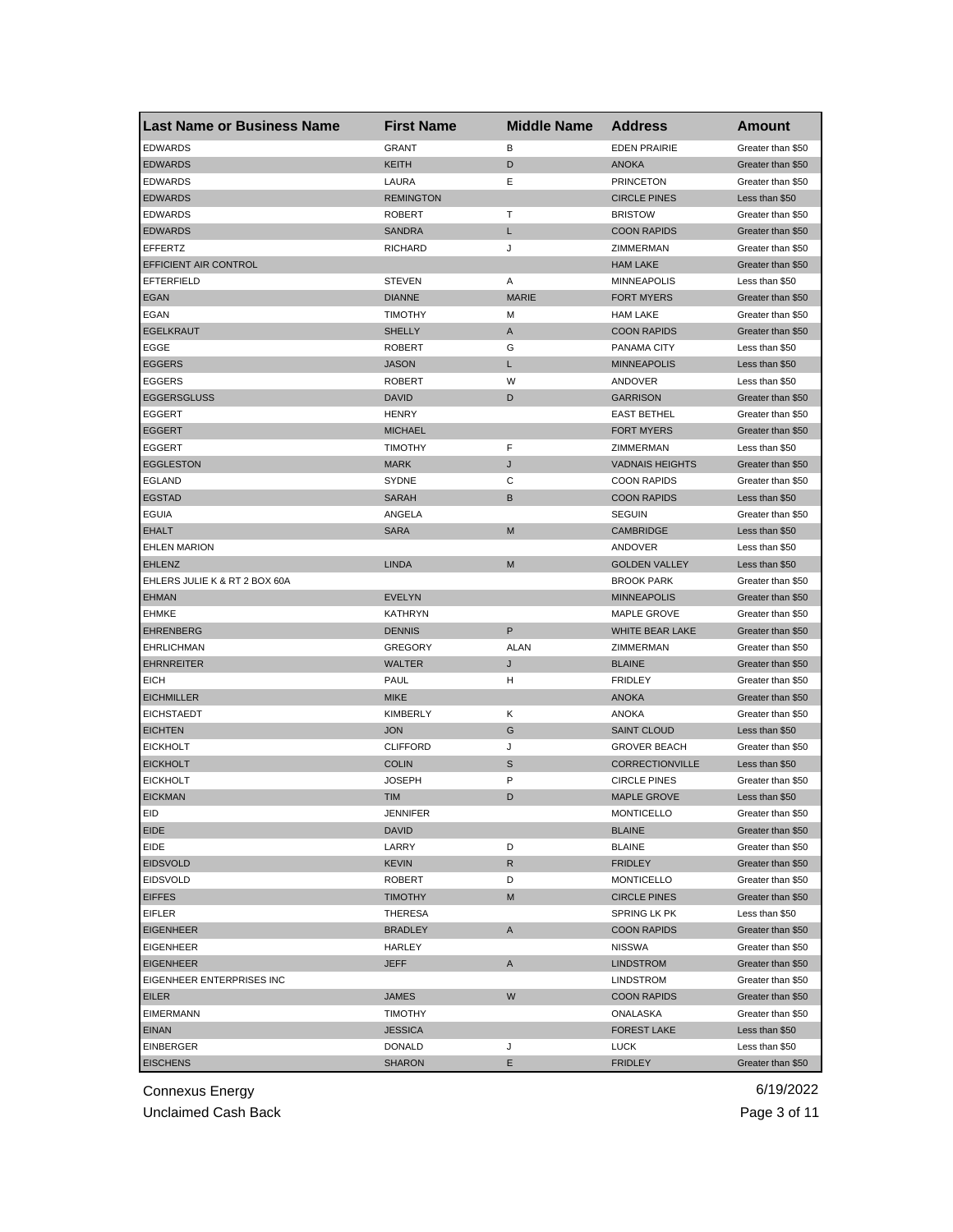| <b>Last Name or Business Name</b> | <b>First Name</b>             | <b>Middle Name</b> | <b>Address</b>         | <b>Amount</b>                       |
|-----------------------------------|-------------------------------|--------------------|------------------------|-------------------------------------|
| <b>EDWARDS</b>                    | <b>GRANT</b>                  | в                  | <b>EDEN PRAIRIE</b>    | Greater than \$50                   |
| <b>EDWARDS</b>                    | KEITH                         | D                  | <b>ANOKA</b>           | Greater than \$50                   |
| <b>EDWARDS</b>                    | LAURA                         | Ε                  | <b>PRINCETON</b>       | Greater than \$50                   |
| <b>EDWARDS</b>                    | <b>REMINGTON</b>              |                    | <b>CIRCLE PINES</b>    | Less than \$50                      |
| <b>EDWARDS</b>                    | <b>ROBERT</b>                 | т                  | <b>BRISTOW</b>         | Greater than \$50                   |
| <b>EDWARDS</b>                    | <b>SANDRA</b>                 | L                  | <b>COON RAPIDS</b>     | Greater than \$50                   |
| <b>EFFERTZ</b>                    | <b>RICHARD</b>                | J                  | ZIMMERMAN              | Greater than \$50                   |
| EFFICIENT AIR CONTROL             |                               |                    | <b>HAM LAKE</b>        | Greater than \$50                   |
| <b>EFTERFIELD</b>                 | <b>STEVEN</b>                 | Α                  | <b>MINNEAPOLIS</b>     | Less than \$50                      |
| <b>EGAN</b>                       | <b>DIANNE</b>                 | <b>MARIE</b>       | <b>FORT MYERS</b>      | Greater than \$50                   |
| EGAN                              | <b>TIMOTHY</b>                | М                  | <b>HAM LAKE</b>        | Greater than \$50                   |
| <b>EGELKRAUT</b>                  | <b>SHELLY</b>                 | A                  | <b>COON RAPIDS</b>     | Greater than \$50                   |
| EGGE                              | <b>ROBERT</b>                 | G                  | PANAMA CITY            | Less than \$50                      |
| <b>EGGERS</b>                     | <b>JASON</b>                  | L                  | <b>MINNEAPOLIS</b>     | Less than \$50                      |
| <b>EGGERS</b>                     | <b>ROBERT</b>                 | W                  | ANDOVER                | Less than \$50                      |
| <b>EGGERSGLUSS</b>                | <b>DAVID</b>                  | D                  | <b>GARRISON</b>        | Greater than \$50                   |
| EGGERT                            | <b>HENRY</b>                  |                    | <b>EAST BETHEL</b>     | Greater than \$50                   |
| <b>EGGERT</b>                     | <b>MICHAEL</b>                |                    | <b>FORT MYERS</b>      | Greater than \$50                   |
| <b>EGGERT</b>                     | <b>TIMOTHY</b>                | F                  | ZIMMERMAN              | Less than \$50                      |
| <b>EGGLESTON</b>                  | <b>MARK</b>                   | J                  | <b>VADNAIS HEIGHTS</b> | Greater than \$50                   |
| <b>EGLAND</b>                     | SYDNE                         | С                  | <b>COON RAPIDS</b>     | Greater than \$50                   |
| <b>EGSTAD</b>                     | <b>SARAH</b>                  | В                  | <b>COON RAPIDS</b>     | Less than \$50                      |
| <b>EGUIA</b>                      | ANGELA                        |                    | <b>SEGUIN</b>          | Greater than \$50                   |
| <b>EHALT</b>                      | <b>SARA</b>                   | M                  | <b>CAMBRIDGE</b>       | Less than \$50                      |
| <b>EHLEN MARION</b>               |                               |                    | ANDOVER                | Less than \$50                      |
| <b>EHLENZ</b>                     | <b>LINDA</b>                  | M                  | <b>GOLDEN VALLEY</b>   | Less than \$50                      |
| EHLERS JULIE K & RT 2 BOX 60A     |                               |                    | <b>BROOK PARK</b>      | Greater than \$50                   |
| <b>EHMAN</b>                      | <b>EVELYN</b>                 |                    | <b>MINNEAPOLIS</b>     | Greater than \$50                   |
| <b>EHMKE</b>                      | KATHRYN                       |                    | MAPLE GROVE            | Greater than \$50                   |
| <b>EHRENBERG</b>                  | <b>DENNIS</b>                 | P                  | WHITE BEAR LAKE        | Greater than \$50                   |
| <b>EHRLICHMAN</b>                 | <b>GREGORY</b>                | <b>ALAN</b>        | ZIMMERMAN              | Greater than \$50                   |
| <b>EHRNREITER</b>                 | <b>WALTER</b>                 | J                  | <b>BLAINE</b>          | Greater than \$50                   |
| <b>EICH</b>                       | <b>PAUL</b>                   | н                  | <b>FRIDLEY</b>         | Greater than \$50                   |
| <b>EICHMILLER</b>                 | <b>MIKE</b>                   |                    | <b>ANOKA</b>           | Greater than \$50                   |
|                                   |                               |                    | <b>ANOKA</b>           |                                     |
| <b>EICHSTAEDT</b>                 | <b>KIMBERLY</b><br><b>JON</b> | Κ<br>G             | <b>SAINT CLOUD</b>     | Greater than \$50<br>Less than \$50 |
| <b>EICHTEN</b>                    |                               |                    |                        |                                     |
| <b>EICKHOLT</b>                   | <b>CLIFFORD</b>               | J                  | <b>GROVER BEACH</b>    | Greater than \$50                   |
| <b>EICKHOLT</b>                   | <b>COLIN</b>                  | S                  | CORRECTIONVILLE        | Less than \$50                      |
| <b>EICKHOLT</b>                   | <b>JOSEPH</b>                 | P                  | <b>CIRCLE PINES</b>    | Greater than \$50                   |
| <b>EICKMAN</b>                    | <b>TIM</b>                    | D                  | <b>MAPLE GROVE</b>     | Less than \$50                      |
| EID                               | JENNIFER                      |                    | <b>MONTICELLO</b>      | Greater than \$50                   |
| EIDE                              | <b>DAVID</b>                  |                    | <b>BLAINE</b>          | Greater than \$50                   |
| EIDE                              | LARRY                         | D                  | <b>BLAINE</b>          | Greater than \$50                   |
| <b>EIDSVOLD</b>                   | KEVIN                         | R                  | <b>FRIDLEY</b>         | Greater than \$50                   |
| <b>EIDSVOLD</b>                   | <b>ROBERT</b>                 | D                  | <b>MONTICELLO</b>      | Greater than \$50                   |
| <b>EIFFES</b>                     | <b>TIMOTHY</b>                | M                  | <b>CIRCLE PINES</b>    | Greater than \$50                   |
| <b>EIFLER</b>                     | THERESA                       |                    | SPRING LK PK           | Less than \$50                      |
| <b>EIGENHEER</b>                  | <b>BRADLEY</b>                | A                  | <b>COON RAPIDS</b>     | Greater than \$50                   |
| <b>EIGENHEER</b>                  | HARLEY                        |                    | <b>NISSWA</b>          | Greater than \$50                   |
| <b>EIGENHEER</b>                  | JEFF                          | A                  | <b>LINDSTROM</b>       | Greater than \$50                   |
| EIGENHEER ENTERPRISES INC         |                               |                    | <b>LINDSTROM</b>       | Greater than \$50                   |
| EILER                             | <b>JAMES</b>                  | W                  | <b>COON RAPIDS</b>     | Greater than \$50                   |
| <b>EIMERMANN</b>                  | TIMOTHY                       |                    | ONALASKA               | Greater than \$50                   |
| <b>EINAN</b>                      | <b>JESSICA</b>                |                    | <b>FOREST LAKE</b>     | Less than \$50                      |
| <b>EINBERGER</b>                  | DONALD                        | J                  | <b>LUCK</b>            | Less than \$50                      |
| <b>EISCHENS</b>                   | <b>SHARON</b>                 | Е                  | <b>FRIDLEY</b>         | Greater than \$50                   |

Unclaimed Cash Back **Page 3 of 11**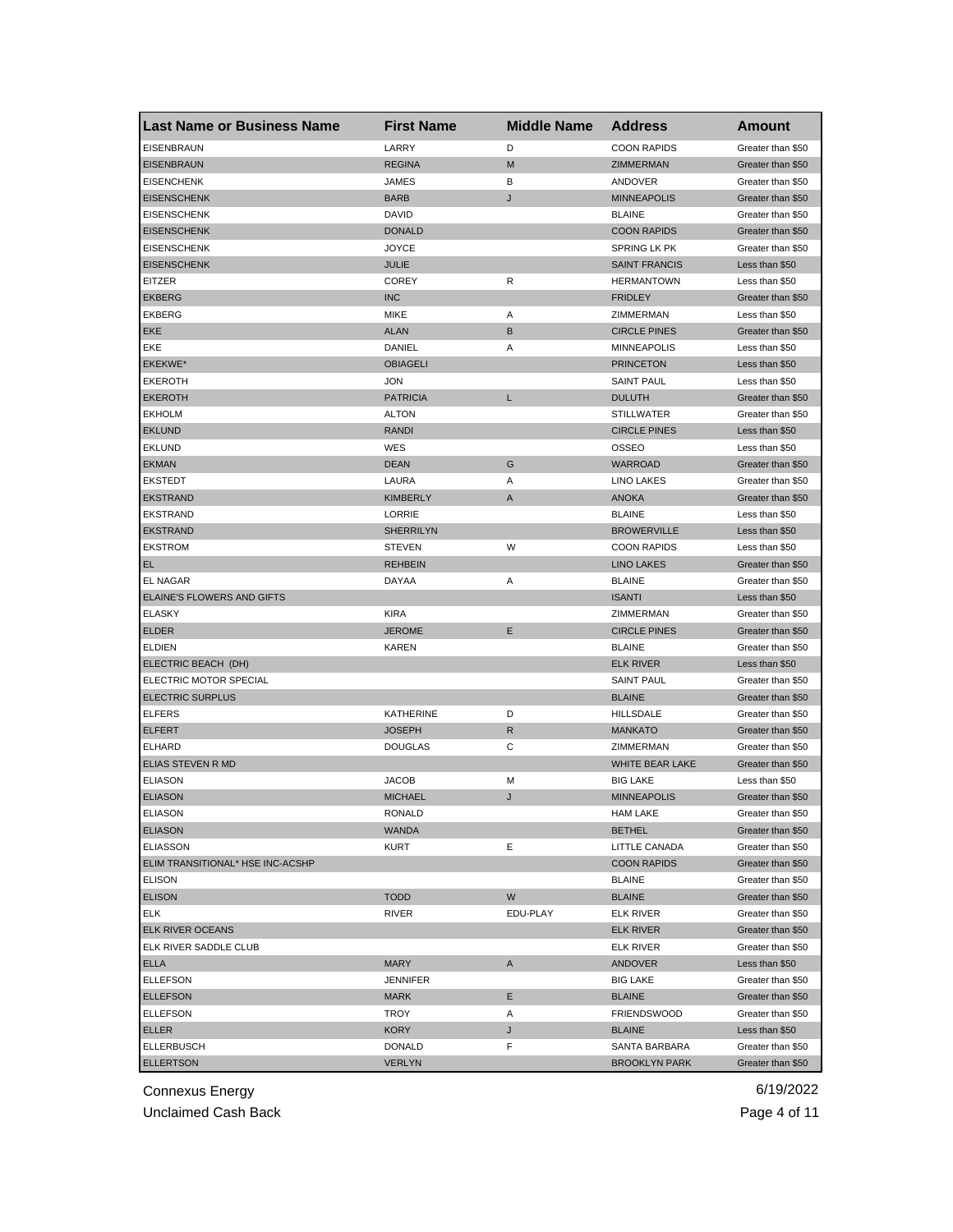| <b>Last Name or Business Name</b> | <b>First Name</b> | <b>Middle Name</b> | <b>Address</b>       | <b>Amount</b>                          |
|-----------------------------------|-------------------|--------------------|----------------------|----------------------------------------|
| <b>EISENBRAUN</b>                 | LARRY             | D                  | <b>COON RAPIDS</b>   | Greater than \$50                      |
| <b>EISENBRAUN</b>                 | <b>REGINA</b>     | M                  | ZIMMERMAN            | Greater than \$50                      |
| <b>EISENCHENK</b>                 | JAMES             | в                  | ANDOVER              | Greater than \$50                      |
| <b>EISENSCHENK</b>                | <b>BARB</b>       | J                  | <b>MINNEAPOLIS</b>   | Greater than \$50                      |
| <b>EISENSCHENK</b>                | DAVID             |                    | <b>BLAINE</b>        | Greater than \$50                      |
| <b>EISENSCHENK</b>                | <b>DONALD</b>     |                    | <b>COON RAPIDS</b>   | Greater than \$50                      |
| <b>EISENSCHENK</b>                | JOYCE             |                    | SPRING LK PK         | Greater than \$50                      |
| <b>EISENSCHENK</b>                | <b>JULIE</b>      |                    | <b>SAINT FRANCIS</b> | Less than \$50                         |
| EITZER                            | <b>COREY</b>      | R                  | <b>HERMANTOWN</b>    | Less than \$50                         |
| <b>EKBERG</b>                     | <b>INC</b>        |                    | <b>FRIDLEY</b>       | Greater than \$50                      |
| EKBERG                            | <b>MIKE</b>       | Α                  | ZIMMERMAN            | Less than \$50                         |
| EKE                               | <b>ALAN</b>       | B                  | <b>CIRCLE PINES</b>  | Greater than \$50                      |
| EKE                               | DANIEL            | Α                  | <b>MINNEAPOLIS</b>   | Less than \$50                         |
| EKEKWE*                           | <b>OBIAGELI</b>   |                    | <b>PRINCETON</b>     | Less than \$50                         |
| <b>EKEROTH</b>                    | <b>JON</b>        |                    | <b>SAINT PAUL</b>    | Less than \$50                         |
| <b>EKEROTH</b>                    | <b>PATRICIA</b>   | L                  | <b>DULUTH</b>        | Greater than \$50                      |
| <b>EKHOLM</b>                     | <b>ALTON</b>      |                    | <b>STILLWATER</b>    | Greater than \$50                      |
| <b>EKLUND</b>                     | <b>RANDI</b>      |                    | <b>CIRCLE PINES</b>  | Less than \$50                         |
| <b>EKLUND</b>                     | WES               |                    | <b>OSSEO</b>         | Less than \$50                         |
| <b>EKMAN</b>                      | <b>DEAN</b>       | G                  | <b>WARROAD</b>       | Greater than \$50                      |
| <b>EKSTEDT</b>                    | LAURA             | Α                  | <b>LINO LAKES</b>    | Greater than \$50                      |
| <b>EKSTRAND</b>                   | <b>KIMBERLY</b>   | A                  | <b>ANOKA</b>         | Greater than \$50                      |
| <b>EKSTRAND</b>                   | LORRIE            |                    | <b>BLAINE</b>        | Less than \$50                         |
| <b>EKSTRAND</b>                   | <b>SHERRILYN</b>  |                    | <b>BROWERVILLE</b>   | Less than \$50                         |
| <b>EKSTROM</b>                    | <b>STEVEN</b>     | W                  | <b>COON RAPIDS</b>   | Less than \$50                         |
| EL.                               | <b>REHBEIN</b>    |                    | <b>LINO LAKES</b>    | Greater than \$50                      |
| <b>EL NAGAR</b>                   | DAYAA             | Α                  | <b>BLAINE</b>        | Greater than \$50                      |
| ELAINE'S FLOWERS AND GIFTS        |                   |                    | <b>ISANTI</b>        | Less than \$50                         |
| <b>ELASKY</b>                     | <b>KIRA</b>       |                    | ZIMMERMAN            | Greater than \$50                      |
| <b>ELDER</b>                      | <b>JEROME</b>     | Е                  | <b>CIRCLE PINES</b>  | Greater than \$50                      |
| <b>ELDIEN</b>                     | KAREN             |                    | <b>BLAINE</b>        | Greater than \$50                      |
| ELECTRIC BEACH (DH)               |                   |                    | <b>ELK RIVER</b>     | Less than \$50                         |
| ELECTRIC MOTOR SPECIAL            |                   |                    | <b>SAINT PAUL</b>    | Greater than \$50                      |
| <b>ELECTRIC SURPLUS</b>           |                   |                    | <b>BLAINE</b>        | Greater than \$50                      |
| <b>ELFERS</b>                     | <b>KATHERINE</b>  | D                  | HILLSDALE            | Greater than \$50                      |
| <b>ELFERT</b>                     | <b>JOSEPH</b>     | R                  | <b>MANKATO</b>       | Greater than \$50                      |
| ELHARD                            | <b>DOUGLAS</b>    | С                  | ZIMMERMAN            |                                        |
| ELIAS STEVEN R MD                 |                   |                    | WHITE BEAR LAKE      | Greater than \$50<br>Greater than \$50 |
| <b>ELIASON</b>                    | JACOB             |                    |                      |                                        |
| <b>ELIASON</b>                    |                   | М                  | <b>BIG LAKE</b>      | Less than \$50<br>Greater than \$50    |
|                                   | <b>MICHAEL</b>    | J                  | <b>MINNEAPOLIS</b>   |                                        |
| ELIASON                           | RONALD            |                    | HAM LAKE             | Greater than \$50                      |
| <b>ELIASON</b>                    | WANDA             |                    | <b>BETHEL</b>        | Greater than \$50                      |
| <b>ELIASSON</b>                   | KURT              | Ε                  | LITTLE CANADA        | Greater than \$50                      |
| ELIM TRANSITIONAL* HSE INC-ACSHP  |                   |                    | <b>COON RAPIDS</b>   | Greater than \$50                      |
| <b>ELISON</b>                     |                   |                    | <b>BLAINE</b>        | Greater than \$50                      |
| <b>ELISON</b>                     | <b>TODD</b>       | W                  | <b>BLAINE</b>        | Greater than \$50                      |
| ELK                               | RIVER             | EDU-PLAY           | <b>ELK RIVER</b>     | Greater than \$50                      |
| ELK RIVER OCEANS                  |                   |                    | <b>ELK RIVER</b>     | Greater than \$50                      |
| ELK RIVER SADDLE CLUB             |                   |                    | ELK RIVER            | Greater than \$50                      |
| <b>ELLA</b>                       | <b>MARY</b>       | A                  | <b>ANDOVER</b>       | Less than \$50                         |
| <b>ELLEFSON</b>                   | <b>JENNIFER</b>   |                    | <b>BIG LAKE</b>      | Greater than \$50                      |
| <b>ELLEFSON</b>                   | <b>MARK</b>       | Е                  | <b>BLAINE</b>        | Greater than \$50                      |
| <b>ELLEFSON</b>                   | TROY              | Α                  | <b>FRIENDSWOOD</b>   | Greater than \$50                      |
| ELLER                             | KORY              | J                  | <b>BLAINE</b>        | Less than \$50                         |
| <b>ELLERBUSCH</b>                 | DONALD            | F                  | SANTA BARBARA        | Greater than \$50                      |
| <b>ELLERTSON</b>                  | <b>VERLYN</b>     |                    | <b>BROOKLYN PARK</b> | Greater than \$50                      |

Unclaimed Cash Back **Page 4 of 11**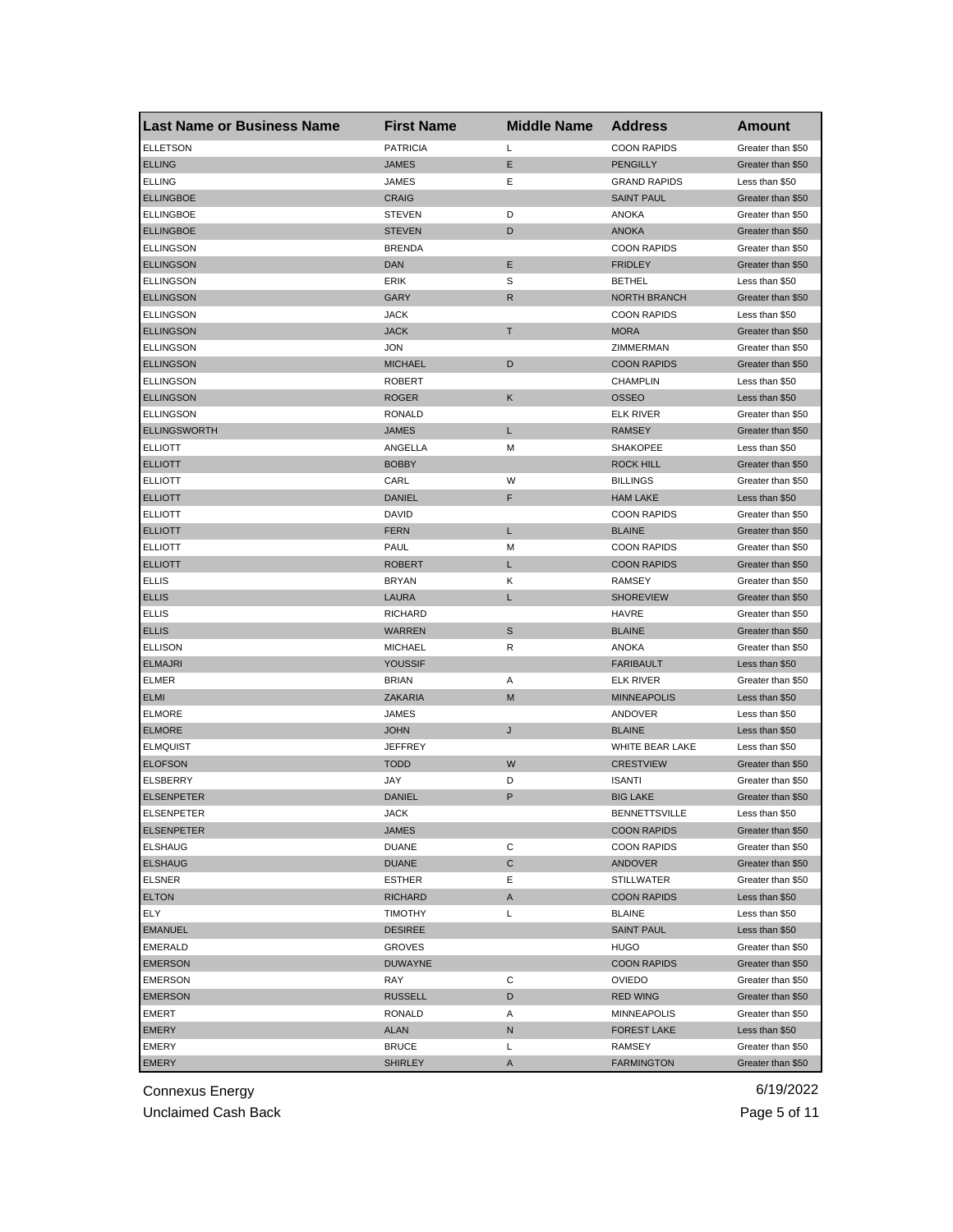| <b>Last Name or Business Name</b> | <b>First Name</b> | <b>Middle Name</b> | <b>Address</b>      | <b>Amount</b>     |
|-----------------------------------|-------------------|--------------------|---------------------|-------------------|
| <b>ELLETSON</b>                   | <b>PATRICIA</b>   | Г                  | <b>COON RAPIDS</b>  | Greater than \$50 |
| <b>ELLING</b>                     | JAMES             | Е                  | <b>PENGILLY</b>     | Greater than \$50 |
| <b>ELLING</b>                     | JAMES             | Ε                  | <b>GRAND RAPIDS</b> | Less than \$50    |
| <b>ELLINGBOE</b>                  | <b>CRAIG</b>      |                    | <b>SAINT PAUL</b>   | Greater than \$50 |
| <b>ELLINGBOE</b>                  | STEVEN            | D                  | <b>ANOKA</b>        | Greater than \$50 |
| <b>ELLINGBOE</b>                  | <b>STEVEN</b>     | D                  | <b>ANOKA</b>        | Greater than \$50 |
| <b>ELLINGSON</b>                  | <b>BRENDA</b>     |                    | <b>COON RAPIDS</b>  | Greater than \$50 |
| <b>ELLINGSON</b>                  | DAN               | Е                  | <b>FRIDLEY</b>      | Greater than \$50 |
| <b>ELLINGSON</b>                  | ERIK              | S                  | <b>BETHEL</b>       | Less than \$50    |
| <b>ELLINGSON</b>                  | GARY              | R                  | <b>NORTH BRANCH</b> | Greater than \$50 |
| <b>ELLINGSON</b>                  | JACK              |                    | <b>COON RAPIDS</b>  | Less than \$50    |
| <b>ELLINGSON</b>                  | <b>JACK</b>       | Т                  | <b>MORA</b>         | Greater than \$50 |
| <b>ELLINGSON</b>                  | JON               |                    | ZIMMERMAN           | Greater than \$50 |
| <b>ELLINGSON</b>                  | <b>MICHAEL</b>    | D                  | <b>COON RAPIDS</b>  | Greater than \$50 |
| <b>ELLINGSON</b>                  | <b>ROBERT</b>     |                    | <b>CHAMPLIN</b>     | Less than \$50    |
| <b>ELLINGSON</b>                  | <b>ROGER</b>      | Κ                  | <b>OSSEO</b>        | Less than \$50    |
| <b>ELLINGSON</b>                  | <b>RONALD</b>     |                    | <b>ELK RIVER</b>    | Greater than \$50 |
| <b>ELLINGSWORTH</b>               | <b>JAMES</b>      | L                  | <b>RAMSEY</b>       | Greater than \$50 |
| <b>ELLIOTT</b>                    | ANGELLA           | М                  | <b>SHAKOPEE</b>     | Less than \$50    |
| <b>ELLIOTT</b>                    | <b>BOBBY</b>      |                    | <b>ROCK HILL</b>    | Greater than \$50 |
| <b>ELLIOTT</b>                    | CARL              | W                  | <b>BILLINGS</b>     | Greater than \$50 |
| <b>ELLIOTT</b>                    | <b>DANIEL</b>     | F                  | <b>HAM LAKE</b>     | Less than \$50    |
| <b>ELLIOTT</b>                    | DAVID             |                    | <b>COON RAPIDS</b>  | Greater than \$50 |
| <b>ELLIOTT</b>                    | <b>FERN</b>       | L                  | <b>BLAINE</b>       | Greater than \$50 |
| <b>ELLIOTT</b>                    | PAUL              | M                  | <b>COON RAPIDS</b>  | Greater than \$50 |
| <b>ELLIOTT</b>                    | ROBERT            | L                  | <b>COON RAPIDS</b>  | Greater than \$50 |
| ELLIS                             | <b>BRYAN</b>      | Κ                  | RAMSEY              | Greater than \$50 |
| <b>ELLIS</b>                      | LAURA             | L                  | <b>SHOREVIEW</b>    | Greater than \$50 |
| <b>ELLIS</b>                      | RICHARD           |                    | <b>HAVRE</b>        | Greater than \$50 |
| <b>ELLIS</b>                      | WARREN            | S                  | <b>BLAINE</b>       | Greater than \$50 |
| <b>ELLISON</b>                    | <b>MICHAEL</b>    | R                  | <b>ANOKA</b>        | Greater than \$50 |
| <b>ELMAJRI</b>                    | YOUSSIF           |                    | <b>FARIBAULT</b>    | Less than \$50    |
| <b>ELMER</b>                      | <b>BRIAN</b>      | Α                  | ELK RIVER           | Greater than \$50 |
| <b>ELMI</b>                       | ZAKARIA           | M                  | <b>MINNEAPOLIS</b>  | Less than \$50    |
| <b>ELMORE</b>                     | JAMES             |                    | ANDOVER             | Less than \$50    |
| <b>ELMORE</b>                     | <b>JOHN</b>       | J                  | <b>BLAINE</b>       | Less than \$50    |
| <b>ELMQUIST</b>                   | JEFFREY           |                    | WHITE BEAR LAKE     | Less than \$50    |
| <b>ELOFSON</b>                    | <b>TODD</b>       | W                  | <b>CRESTVIEW</b>    | Greater than \$50 |
| ELSBERRY                          | JAY               | D                  | <b>ISANTI</b>       | Greater than \$50 |
| <b>ELSENPETER</b>                 | <b>DANIEL</b>     | P                  | <b>BIG LAKE</b>     | Greater than \$50 |
| ELSENPETER                        | JACK              |                    | BENNET I SVILLE     | Less than \$50    |
| <b>ELSENPETER</b>                 | JAMES             |                    | <b>COON RAPIDS</b>  | Greater than \$50 |
| <b>ELSHAUG</b>                    | <b>DUANE</b>      | С                  | <b>COON RAPIDS</b>  | Greater than \$50 |
| <b>ELSHAUG</b>                    | DUANE             | С                  | ANDOVER             | Greater than \$50 |
| <b>ELSNER</b>                     | <b>ESTHER</b>     | Е                  | <b>STILLWATER</b>   | Greater than \$50 |
| <b>ELTON</b>                      | RICHARD           | A                  | <b>COON RAPIDS</b>  | Less than \$50    |
| ELY                               | <b>TIMOTHY</b>    | Г                  | <b>BLAINE</b>       | Less than \$50    |
| <b>EMANUEL</b>                    | <b>DESIREE</b>    |                    | <b>SAINT PAUL</b>   | Less than \$50    |
|                                   |                   |                    |                     | Greater than \$50 |
| <b>EMERALD</b>                    | <b>GROVES</b>     |                    | <b>HUGO</b>         |                   |
| <b>EMERSON</b>                    | <b>DUWAYNE</b>    |                    | <b>COON RAPIDS</b>  | Greater than \$50 |
| <b>EMERSON</b>                    | RAY               | С                  | <b>OVIEDO</b>       | Greater than \$50 |
| <b>EMERSON</b>                    | <b>RUSSELL</b>    | D                  | <b>RED WING</b>     | Greater than \$50 |
| EMERT                             | RONALD            | Α                  | MINNEAPOLIS         | Greater than \$50 |
| EMERY                             | ALAN              | N                  | <b>FOREST LAKE</b>  | Less than \$50    |
| EMERY                             | <b>BRUCE</b>      | L                  | RAMSEY              | Greater than \$50 |
| <b>EMERY</b>                      | <b>SHIRLEY</b>    | Α                  | <b>FARMINGTON</b>   | Greater than \$50 |

Unclaimed Cash Back **Page 5 of 11**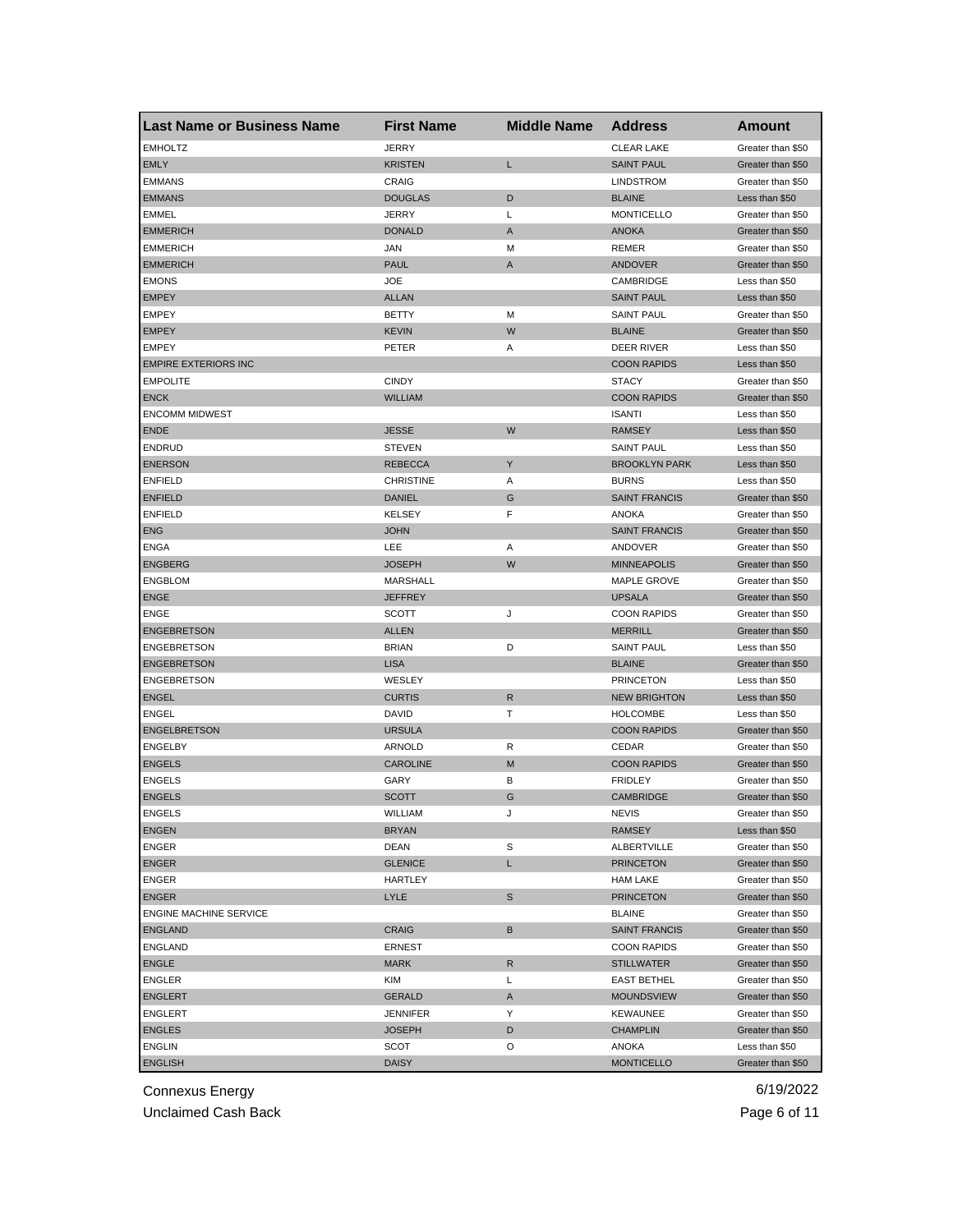| <b>Last Name or Business Name</b> | <b>First Name</b> | <b>Middle Name</b> | <b>Address</b>       | Amount            |
|-----------------------------------|-------------------|--------------------|----------------------|-------------------|
| <b>EMHOLTZ</b>                    | <b>JERRY</b>      |                    | <b>CLEAR LAKE</b>    | Greater than \$50 |
| <b>EMLY</b>                       | <b>KRISTEN</b>    | Г                  | <b>SAINT PAUL</b>    | Greater than \$50 |
| <b>EMMANS</b>                     | <b>CRAIG</b>      |                    | <b>LINDSTROM</b>     | Greater than \$50 |
| <b>EMMANS</b>                     | <b>DOUGLAS</b>    | D                  | <b>BLAINE</b>        | Less than \$50    |
| <b>EMMEL</b>                      | <b>JERRY</b>      | L                  | <b>MONTICELLO</b>    | Greater than \$50 |
| <b>EMMERICH</b>                   | <b>DONALD</b>     | A                  | <b>ANOKA</b>         | Greater than \$50 |
| <b>EMMERICH</b>                   | <b>JAN</b>        | М                  | REMER                | Greater than \$50 |
| <b>EMMERICH</b>                   | <b>PAUL</b>       | A                  | <b>ANDOVER</b>       | Greater than \$50 |
| <b>EMONS</b>                      | <b>JOE</b>        |                    | CAMBRIDGE            | Less than \$50    |
| <b>EMPEY</b>                      | <b>ALLAN</b>      |                    | <b>SAINT PAUL</b>    | Less than \$50    |
| <b>EMPEY</b>                      | <b>BETTY</b>      | М                  | <b>SAINT PAUL</b>    | Greater than \$50 |
| <b>EMPEY</b>                      | <b>KEVIN</b>      | W                  | <b>BLAINE</b>        | Greater than \$50 |
| <b>EMPEY</b>                      | PETER             | Α                  | DEER RIVER           | Less than \$50    |
| <b>EMPIRE EXTERIORS INC</b>       |                   |                    | <b>COON RAPIDS</b>   | Less than \$50    |
| <b>EMPOLITE</b>                   | <b>CINDY</b>      |                    | <b>STACY</b>         | Greater than \$50 |
| <b>ENCK</b>                       | <b>WILLIAM</b>    |                    | <b>COON RAPIDS</b>   | Greater than \$50 |
| <b>ENCOMM MIDWEST</b>             |                   |                    | <b>ISANTI</b>        | Less than \$50    |
| <b>ENDE</b>                       | <b>JESSE</b>      | W                  | <b>RAMSEY</b>        | Less than \$50    |
| <b>ENDRUD</b>                     | <b>STEVEN</b>     |                    | <b>SAINT PAUL</b>    | Less than \$50    |
| <b>ENERSON</b>                    | <b>REBECCA</b>    | Υ                  | <b>BROOKLYN PARK</b> | Less than \$50    |
| <b>ENFIELD</b>                    | <b>CHRISTINE</b>  | Α                  | <b>BURNS</b>         | Less than \$50    |
| <b>ENFIELD</b>                    | <b>DANIEL</b>     | G                  | <b>SAINT FRANCIS</b> | Greater than \$50 |
| <b>ENFIELD</b>                    | KELSEY            | F                  | ANOKA                | Greater than \$50 |
| <b>ENG</b>                        | <b>JOHN</b>       |                    | <b>SAINT FRANCIS</b> | Greater than \$50 |
| <b>ENGA</b>                       | LEE               | Α                  | ANDOVER              | Greater than \$50 |
| <b>ENGBERG</b>                    | <b>JOSEPH</b>     | W                  | <b>MINNEAPOLIS</b>   | Greater than \$50 |
| <b>ENGBLOM</b>                    | MARSHALL          |                    | <b>MAPLE GROVE</b>   | Greater than \$50 |
| <b>ENGE</b>                       | <b>JEFFREY</b>    |                    | <b>UPSALA</b>        | Greater than \$50 |
| <b>ENGE</b>                       | <b>SCOTT</b>      | J                  | <b>COON RAPIDS</b>   | Greater than \$50 |
| <b>ENGEBRETSON</b>                | <b>ALLEN</b>      |                    | <b>MERRILL</b>       | Greater than \$50 |
| <b>ENGEBRETSON</b>                | <b>BRIAN</b>      | D                  | <b>SAINT PAUL</b>    | Less than \$50    |
| <b>ENGEBRETSON</b>                | <b>LISA</b>       |                    | <b>BLAINE</b>        | Greater than \$50 |
| <b>ENGEBRETSON</b>                | WESLEY            |                    | <b>PRINCETON</b>     | Less than \$50    |
| <b>ENGEL</b>                      | <b>CURTIS</b>     | $\mathsf R$        | <b>NEW BRIGHTON</b>  | Less than \$50    |
| <b>ENGEL</b>                      | DAVID             | т                  | <b>HOLCOMBE</b>      | Less than \$50    |
| <b>ENGELBRETSON</b>               | <b>URSULA</b>     |                    | <b>COON RAPIDS</b>   | Greater than \$50 |
| <b>ENGELBY</b>                    | ARNOLD            | R                  | CEDAR                | Greater than \$50 |
| <b>ENGELS</b>                     | CAROLINE          | M                  | <b>COON RAPIDS</b>   | Greater than \$50 |
| <b>ENGELS</b>                     | GARY              | В                  | <b>FRIDLEY</b>       | Greater than \$50 |
| <b>ENGELS</b>                     | <b>SCOTT</b>      | G                  | <b>CAMBRIDGE</b>     | Greater than \$50 |
| <b>ENGELS</b>                     | WILLIAM           | J                  | <b>NEVIS</b>         | Greater than \$50 |
| <b>ENGEN</b>                      | <b>BRYAN</b>      |                    | <b>RAMSEY</b>        | Less than \$50    |
| ENGER                             | DEAN              | S                  | ALBERTVILLE          | Greater than \$50 |
| <b>ENGER</b>                      | <b>GLENICE</b>    | L                  | <b>PRINCETON</b>     | Greater than \$50 |
| ENGER                             | HARTLEY           |                    | <b>HAM LAKE</b>      | Greater than \$50 |
| <b>ENGER</b>                      | LYLE              | S                  | <b>PRINCETON</b>     | Greater than \$50 |
| <b>ENGINE MACHINE SERVICE</b>     |                   |                    | <b>BLAINE</b>        | Greater than \$50 |
| <b>ENGLAND</b>                    | <b>CRAIG</b>      | B                  | <b>SAINT FRANCIS</b> | Greater than \$50 |
| <b>ENGLAND</b>                    | <b>ERNEST</b>     |                    | <b>COON RAPIDS</b>   | Greater than \$50 |
| <b>ENGLE</b>                      | <b>MARK</b>       | R                  | <b>STILLWATER</b>    | Greater than \$50 |
| ENGLER                            | KIM               | L                  | <b>EAST BETHEL</b>   | Greater than \$50 |
| <b>ENGLERT</b>                    | <b>GERALD</b>     | A                  | <b>MOUNDSVIEW</b>    | Greater than \$50 |
| <b>ENGLERT</b>                    | <b>JENNIFER</b>   | Υ                  | KEWAUNEE             | Greater than \$50 |
| <b>ENGLES</b>                     | <b>JOSEPH</b>     | D                  | <b>CHAMPLIN</b>      | Greater than \$50 |
| <b>ENGLIN</b>                     | SCOT              | O                  | ANOKA                | Less than \$50    |
| <b>ENGLISH</b>                    | <b>DAISY</b>      |                    | <b>MONTICELLO</b>    | Greater than \$50 |
|                                   |                   |                    |                      |                   |

Unclaimed Cash Back **Page 6 of 11**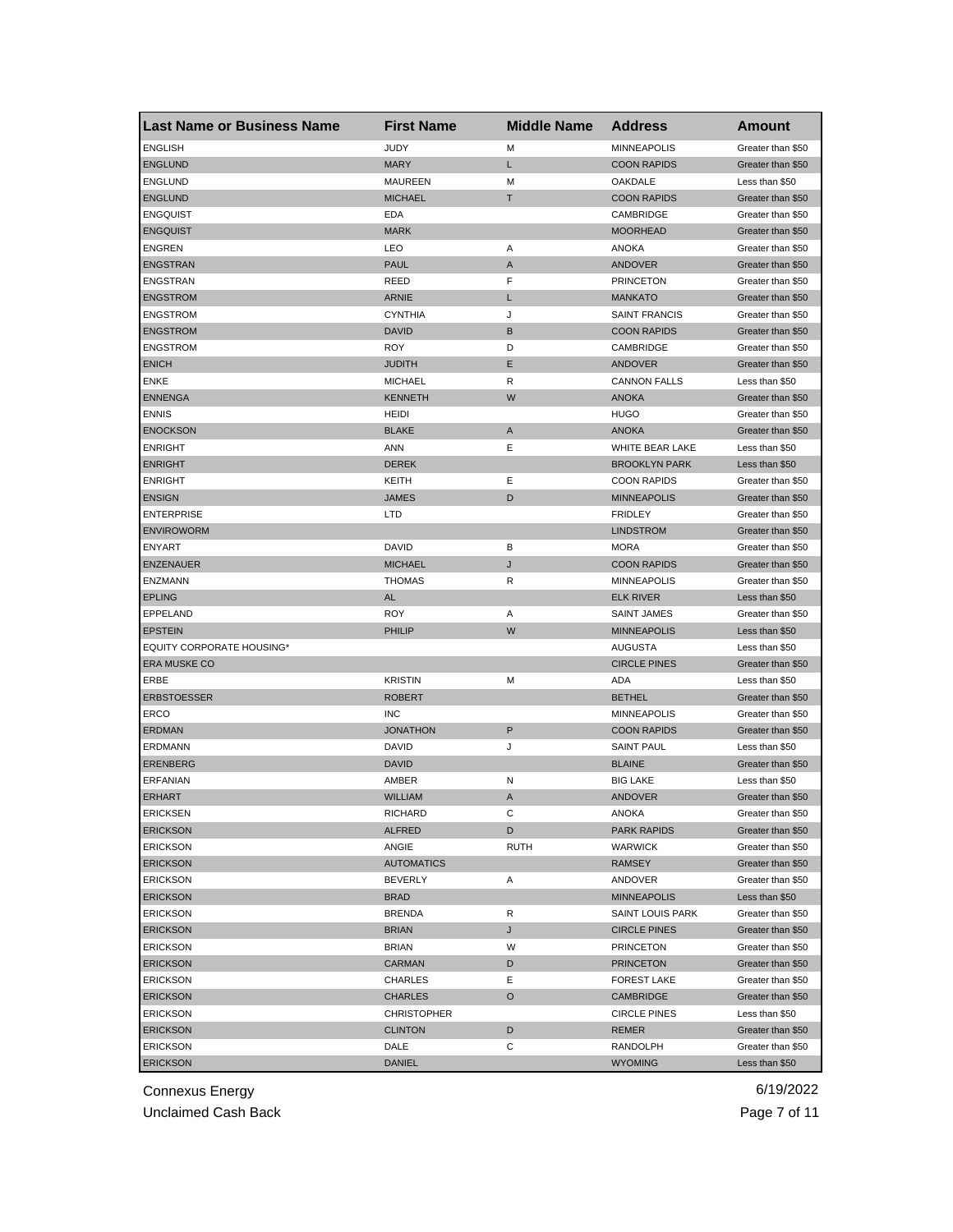| <b>Last Name or Business Name</b> | <b>First Name</b>  | <b>Middle Name</b> | <b>Address</b>       | Amount            |
|-----------------------------------|--------------------|--------------------|----------------------|-------------------|
| <b>ENGLISH</b>                    | <b>JUDY</b>        | M                  | <b>MINNEAPOLIS</b>   | Greater than \$50 |
| <b>ENGLUND</b>                    | <b>MARY</b>        | L                  | <b>COON RAPIDS</b>   | Greater than \$50 |
| <b>ENGLUND</b>                    | <b>MAUREEN</b>     | M                  | OAKDALE              | Less than \$50    |
| <b>ENGLUND</b>                    | <b>MICHAEL</b>     | T                  | <b>COON RAPIDS</b>   | Greater than \$50 |
| <b>ENGQUIST</b>                   | EDA                |                    | CAMBRIDGE            | Greater than \$50 |
| <b>ENGQUIST</b>                   | <b>MARK</b>        |                    | <b>MOORHEAD</b>      | Greater than \$50 |
| <b>ENGREN</b>                     | LEO                | Α                  | <b>ANOKA</b>         | Greater than \$50 |
| <b>ENGSTRAN</b>                   | <b>PAUL</b>        | A                  | <b>ANDOVER</b>       | Greater than \$50 |
| ENGSTRAN                          | REED               | F                  | <b>PRINCETON</b>     | Greater than \$50 |
| <b>ENGSTROM</b>                   | <b>ARNIE</b>       | L                  | <b>MANKATO</b>       | Greater than \$50 |
| <b>ENGSTROM</b>                   | <b>CYNTHIA</b>     | J                  | <b>SAINT FRANCIS</b> | Greater than \$50 |
| <b>ENGSTROM</b>                   | <b>DAVID</b>       | B                  | <b>COON RAPIDS</b>   | Greater than \$50 |
| <b>ENGSTROM</b>                   | <b>ROY</b>         | D                  | CAMBRIDGE            | Greater than \$50 |
| <b>ENICH</b>                      | <b>JUDITH</b>      | Ε                  | ANDOVER              | Greater than \$50 |
| <b>ENKE</b>                       | <b>MICHAEL</b>     | R                  | <b>CANNON FALLS</b>  | Less than \$50    |
| <b>ENNENGA</b>                    | <b>KENNETH</b>     | W                  | <b>ANOKA</b>         | Greater than \$50 |
| <b>ENNIS</b>                      | <b>HEIDI</b>       |                    | <b>HUGO</b>          | Greater than \$50 |
| <b>ENOCKSON</b>                   | <b>BLAKE</b>       | A                  | <b>ANOKA</b>         | Greater than \$50 |
| <b>ENRIGHT</b>                    | ANN                | Ε                  | WHITE BEAR LAKE      | Less than \$50    |
| <b>ENRIGHT</b>                    | <b>DEREK</b>       |                    | <b>BROOKLYN PARK</b> | Less than \$50    |
| <b>ENRIGHT</b>                    | KEITH              | Ε                  | <b>COON RAPIDS</b>   | Greater than \$50 |
| <b>ENSIGN</b>                     | <b>JAMES</b>       | D                  | <b>MINNEAPOLIS</b>   | Greater than \$50 |
| <b>ENTERPRISE</b>                 | LTD                |                    | <b>FRIDLEY</b>       | Greater than \$50 |
| <b>ENVIROWORM</b>                 |                    |                    | <b>LINDSTROM</b>     | Greater than \$50 |
| <b>ENYART</b>                     | <b>DAVID</b>       | в                  | MORA                 | Greater than \$50 |
| <b>ENZENAUER</b>                  |                    | J                  | <b>COON RAPIDS</b>   |                   |
|                                   | <b>MICHAEL</b>     | R                  |                      | Greater than \$50 |
| ENZMANN                           | <b>THOMAS</b>      |                    | <b>MINNEAPOLIS</b>   | Greater than \$50 |
| <b>EPLING</b>                     | <b>AL</b>          |                    | <b>ELK RIVER</b>     | Less than \$50    |
| EPPELAND                          | <b>ROY</b>         | Α                  | <b>SAINT JAMES</b>   | Greater than \$50 |
| <b>EPSTEIN</b>                    | PHILIP             | W                  | <b>MINNEAPOLIS</b>   | Less than \$50    |
| <b>EQUITY CORPORATE HOUSING*</b>  |                    |                    | AUGUSTA              | Less than \$50    |
| <b>ERA MUSKE CO</b>               |                    |                    | <b>CIRCLE PINES</b>  | Greater than \$50 |
| ERBE                              | <b>KRISTIN</b>     | M                  | ADA                  | Less than \$50    |
| <b>ERBSTOESSER</b>                | <b>ROBERT</b>      |                    | <b>BETHEL</b>        | Greater than \$50 |
| ERCO                              | <b>INC</b>         |                    | <b>MINNEAPOLIS</b>   | Greater than \$50 |
| <b>ERDMAN</b>                     | <b>JONATHON</b>    | P                  | <b>COON RAPIDS</b>   | Greater than \$50 |
| ERDMANN                           | <b>DAVID</b>       | J                  | <b>SAINT PAUL</b>    | Less than \$50    |
| <b>ERENBERG</b>                   | <b>DAVID</b>       |                    | <b>BLAINE</b>        | Greater than \$50 |
| <b>ERFANIAN</b>                   | AMBER              | N                  | <b>BIG LAKE</b>      | Less than \$50    |
| <b>ERHART</b>                     | <b>WILLIAM</b>     | A                  | ANDOVER              | Greater than \$50 |
| <b>ERICKSEN</b>                   | RICHARD            | С                  | ANOKA                | Greater than \$50 |
| <b>ERICKSON</b>                   | <b>ALFRED</b>      | D                  | <b>PARK RAPIDS</b>   | Greater than \$50 |
| <b>ERICKSON</b>                   | ANGIE              | <b>RUTH</b>        | <b>WARWICK</b>       | Greater than \$50 |
| <b>ERICKSON</b>                   | <b>AUTOMATICS</b>  |                    | RAMSEY               | Greater than \$50 |
| <b>ERICKSON</b>                   | <b>BEVERLY</b>     | Α                  | ANDOVER              | Greater than \$50 |
| <b>ERICKSON</b>                   | <b>BRAD</b>        |                    | <b>MINNEAPOLIS</b>   | Less than \$50    |
| <b>ERICKSON</b>                   | <b>BRENDA</b>      | R                  | SAINT LOUIS PARK     | Greater than \$50 |
| <b>ERICKSON</b>                   | <b>BRIAN</b>       | J                  | <b>CIRCLE PINES</b>  | Greater than \$50 |
| <b>ERICKSON</b>                   | <b>BRIAN</b>       | W                  | <b>PRINCETON</b>     | Greater than \$50 |
| <b>ERICKSON</b>                   | <b>CARMAN</b>      | D                  | <b>PRINCETON</b>     | Greater than \$50 |
| <b>ERICKSON</b>                   | CHARLES            | Е                  | <b>FOREST LAKE</b>   | Greater than \$50 |
| <b>ERICKSON</b>                   | <b>CHARLES</b>     | $\circ$            | CAMBRIDGE            | Greater than \$50 |
| <b>ERICKSON</b>                   | <b>CHRISTOPHER</b> |                    | <b>CIRCLE PINES</b>  | Less than \$50    |
| <b>ERICKSON</b>                   | <b>CLINTON</b>     | D                  | REMER                | Greater than \$50 |
| <b>ERICKSON</b>                   | DALE               | С                  | RANDOLPH             | Greater than \$50 |
| <b>ERICKSON</b>                   | <b>DANIEL</b>      |                    | <b>WYOMING</b>       | Less than \$50    |

Unclaimed Cash Back **Page 7 of 11**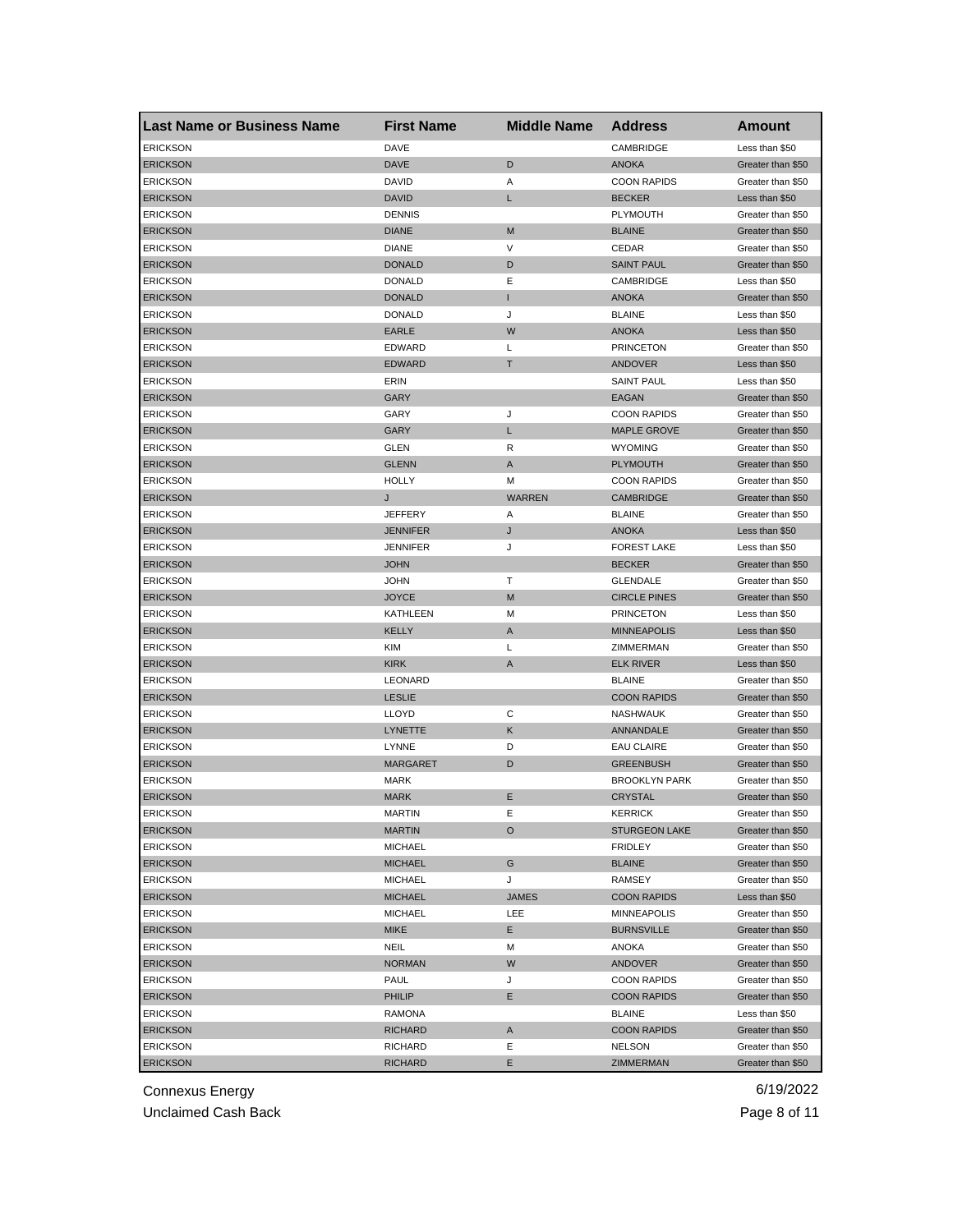| <b>Last Name or Business Name</b> | <b>First Name</b> | <b>Middle Name</b> | <b>Address</b>       | <b>Amount</b>     |
|-----------------------------------|-------------------|--------------------|----------------------|-------------------|
| <b>ERICKSON</b>                   | DAVE              |                    | CAMBRIDGE            | Less than \$50    |
| <b>ERICKSON</b>                   | <b>DAVE</b>       | D                  | <b>ANOKA</b>         | Greater than \$50 |
| <b>ERICKSON</b>                   | DAVID             | Α                  | <b>COON RAPIDS</b>   | Greater than \$50 |
| <b>ERICKSON</b>                   | <b>DAVID</b>      | L                  | <b>BECKER</b>        | Less than \$50    |
| <b>ERICKSON</b>                   | <b>DENNIS</b>     |                    | PLYMOUTH             | Greater than \$50 |
| <b>ERICKSON</b>                   | <b>DIANE</b>      | M                  | <b>BLAINE</b>        | Greater than \$50 |
| <b>ERICKSON</b>                   | <b>DIANE</b>      | V                  | CEDAR                | Greater than \$50 |
| <b>ERICKSON</b>                   | <b>DONALD</b>     | D                  | <b>SAINT PAUL</b>    | Greater than \$50 |
| <b>ERICKSON</b>                   | <b>DONALD</b>     | Ε                  | CAMBRIDGE            | Less than \$50    |
| <b>ERICKSON</b>                   | <b>DONALD</b>     | п                  | <b>ANOKA</b>         | Greater than \$50 |
| <b>ERICKSON</b>                   | <b>DONALD</b>     | J                  | <b>BLAINE</b>        | Less than \$50    |
| <b>ERICKSON</b>                   | <b>EARLE</b>      | W                  | <b>ANOKA</b>         | Less than \$50    |
| <b>ERICKSON</b>                   | <b>EDWARD</b>     | L                  | <b>PRINCETON</b>     | Greater than \$50 |
| <b>ERICKSON</b>                   | <b>EDWARD</b>     | T                  | ANDOVER              | Less than \$50    |
| <b>ERICKSON</b>                   | ERIN              |                    | <b>SAINT PAUL</b>    | Less than \$50    |
| <b>ERICKSON</b>                   | <b>GARY</b>       |                    | EAGAN                | Greater than \$50 |
| <b>ERICKSON</b>                   | GARY              | J                  | <b>COON RAPIDS</b>   | Greater than \$50 |
| <b>ERICKSON</b>                   | GARY              | L                  | <b>MAPLE GROVE</b>   | Greater than \$50 |
| <b>ERICKSON</b>                   | <b>GLEN</b>       | R                  | <b>WYOMING</b>       | Greater than \$50 |
| <b>ERICKSON</b>                   | <b>GLENN</b>      | Α                  | <b>PLYMOUTH</b>      | Greater than \$50 |
| <b>ERICKSON</b>                   | <b>HOLLY</b>      | M                  | <b>COON RAPIDS</b>   | Greater than \$50 |
| <b>ERICKSON</b>                   | J                 | <b>WARREN</b>      | <b>CAMBRIDGE</b>     | Greater than \$50 |
| <b>ERICKSON</b>                   | <b>JEFFERY</b>    | Α                  | <b>BLAINE</b>        | Greater than \$50 |
| <b>ERICKSON</b>                   | <b>JENNIFER</b>   | J                  | <b>ANOKA</b>         | Less than \$50    |
| ERICKSON                          | JENNIFER          | J                  | <b>FOREST LAKE</b>   | Less than \$50    |
| <b>ERICKSON</b>                   | <b>JOHN</b>       |                    | <b>BECKER</b>        | Greater than \$50 |
| <b>ERICKSON</b>                   | JOHN              | т                  | <b>GLENDALE</b>      | Greater than \$50 |
| <b>ERICKSON</b>                   | <b>JOYCE</b>      | M                  | <b>CIRCLE PINES</b>  | Greater than \$50 |
| <b>ERICKSON</b>                   | KATHLEEN          | М                  | <b>PRINCETON</b>     | Less than \$50    |
| <b>ERICKSON</b>                   | <b>KELLY</b>      | A                  | <b>MINNEAPOLIS</b>   | Less than \$50    |
| <b>ERICKSON</b>                   | <b>KIM</b>        | Г                  | ZIMMERMAN            | Greater than \$50 |
| <b>ERICKSON</b>                   | <b>KIRK</b>       | $\overline{A}$     | <b>ELK RIVER</b>     | Less than \$50    |
| <b>ERICKSON</b>                   | LEONARD           |                    | <b>BLAINE</b>        | Greater than \$50 |
| <b>ERICKSON</b>                   | <b>LESLIE</b>     |                    | <b>COON RAPIDS</b>   | Greater than \$50 |
| <b>ERICKSON</b>                   | <b>LLOYD</b>      | С                  | <b>NASHWAUK</b>      | Greater than \$50 |
| <b>ERICKSON</b>                   | LYNETTE           | Κ                  | ANNANDALE            | Greater than \$50 |
| <b>ERICKSON</b>                   | LYNNE             | D                  | <b>EAU CLAIRE</b>    | Greater than \$50 |
| <b>ERICKSON</b>                   | <b>MARGARET</b>   | D                  | <b>GREENBUSH</b>     | Greater than \$50 |
| <b>ERICKSON</b>                   | <b>MARK</b>       |                    | <b>BROOKLYN PARK</b> | Greater than \$50 |
| <b>ERICKSON</b>                   | <b>MARK</b>       | Ε                  | <b>CRYSTAL</b>       | Greater than \$50 |
| <b>ERICKSON</b>                   | MARTIN            | Е                  | <b>KERRICK</b>       | Greater than \$50 |
| <b>ERICKSON</b>                   | <b>MARTIN</b>     | O                  | <b>STURGEON LAKE</b> | Greater than \$50 |
| <b>ERICKSON</b>                   | <b>MICHAEL</b>    |                    | <b>FRIDLEY</b>       | Greater than \$50 |
| <b>ERICKSON</b>                   | <b>MICHAEL</b>    | G                  | <b>BLAINE</b>        | Greater than \$50 |
| <b>ERICKSON</b>                   | <b>MICHAEL</b>    | J                  | RAMSEY               | Greater than \$50 |
| <b>ERICKSON</b>                   | <b>MICHAEL</b>    | <b>JAMES</b>       | <b>COON RAPIDS</b>   | Less than \$50    |
| <b>ERICKSON</b>                   | <b>MICHAEL</b>    | LEE                | MINNEAPOLIS          | Greater than \$50 |
| <b>ERICKSON</b>                   | <b>MIKE</b>       | Е                  | <b>BURNSVILLE</b>    | Greater than \$50 |
| <b>ERICKSON</b>                   | NEIL              | M                  | ANOKA                | Greater than \$50 |
| <b>ERICKSON</b>                   | <b>NORMAN</b>     | W                  | <b>ANDOVER</b>       | Greater than \$50 |
| <b>ERICKSON</b>                   | PAUL              | J                  | <b>COON RAPIDS</b>   | Greater than \$50 |
| <b>ERICKSON</b>                   | PHILIP            | Е                  | <b>COON RAPIDS</b>   | Greater than \$50 |
| <b>ERICKSON</b>                   | RAMONA            |                    | <b>BLAINE</b>        | Less than \$50    |
| <b>ERICKSON</b>                   | <b>RICHARD</b>    | A                  | <b>COON RAPIDS</b>   | Greater than \$50 |
| <b>ERICKSON</b>                   | RICHARD           | Ε                  | <b>NELSON</b>        | Greater than \$50 |
| <b>ERICKSON</b>                   | <b>RICHARD</b>    | Е                  | ZIMMERMAN            | Greater than \$50 |

Unclaimed Cash Back **Page 8 of 11**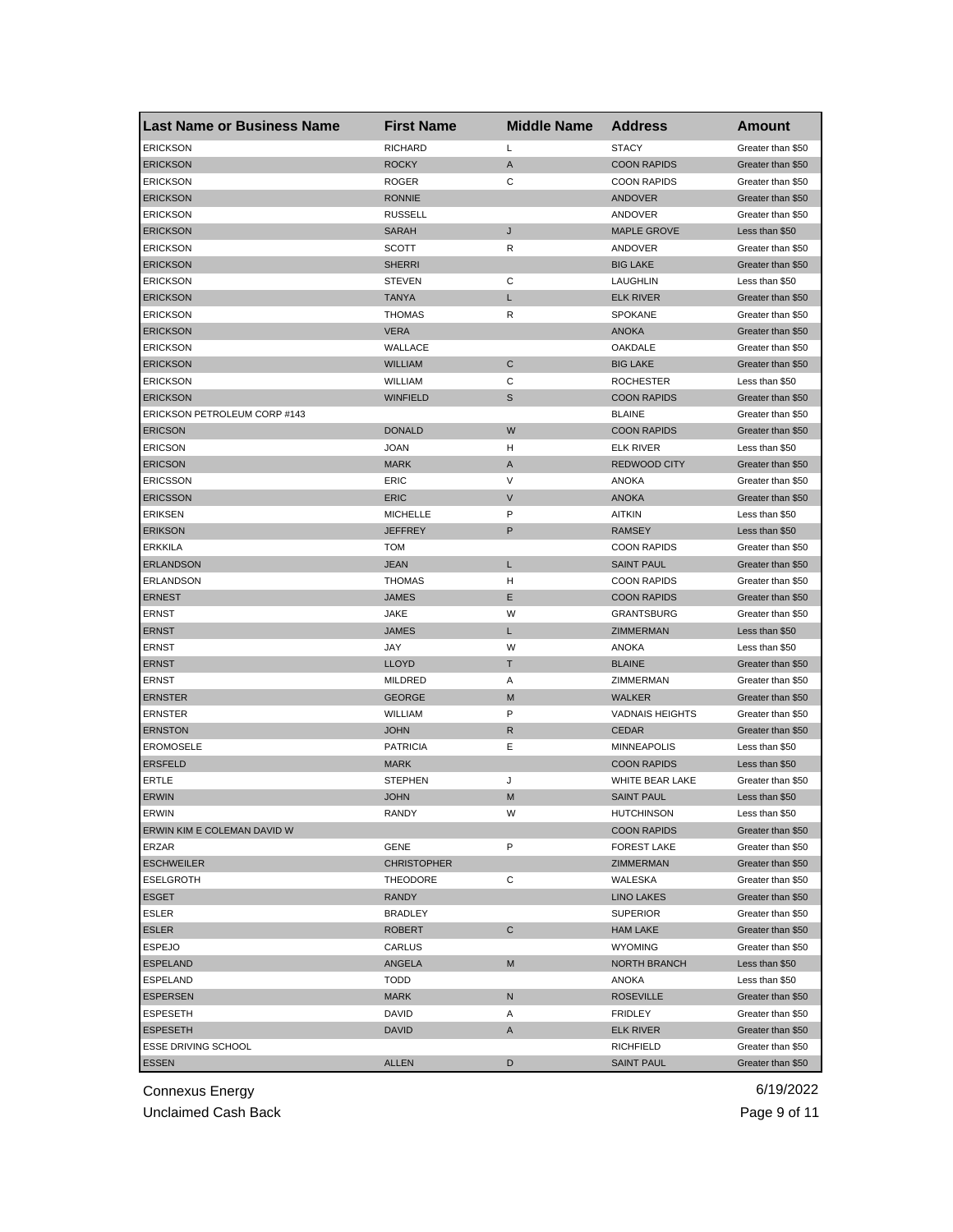| <b>Last Name or Business Name</b> | <b>First Name</b>      | <b>Middle Name</b> | <b>Address</b>         | <b>Amount</b>     |
|-----------------------------------|------------------------|--------------------|------------------------|-------------------|
| <b>ERICKSON</b>                   | <b>RICHARD</b>         | Г                  | <b>STACY</b>           | Greater than \$50 |
| <b>ERICKSON</b>                   | <b>ROCKY</b>           | A                  | <b>COON RAPIDS</b>     | Greater than \$50 |
| <b>ERICKSON</b>                   | <b>ROGER</b>           | C                  | <b>COON RAPIDS</b>     | Greater than \$50 |
| <b>ERICKSON</b>                   | <b>RONNIE</b>          |                    | <b>ANDOVER</b>         | Greater than \$50 |
| <b>ERICKSON</b>                   | <b>RUSSELL</b>         |                    | ANDOVER                | Greater than \$50 |
| <b>ERICKSON</b>                   | <b>SARAH</b>           | J                  | <b>MAPLE GROVE</b>     | Less than \$50    |
| <b>ERICKSON</b>                   | SCOTT                  | R                  | ANDOVER                | Greater than \$50 |
| <b>ERICKSON</b>                   | <b>SHERRI</b>          |                    | <b>BIG LAKE</b>        | Greater than \$50 |
| <b>ERICKSON</b>                   | <b>STEVEN</b>          | С                  | <b>LAUGHLIN</b>        | Less than \$50    |
| <b>ERICKSON</b>                   | <b>TANYA</b>           | L                  | <b>ELK RIVER</b>       | Greater than \$50 |
| <b>ERICKSON</b>                   | <b>THOMAS</b>          | R                  | <b>SPOKANE</b>         | Greater than \$50 |
| <b>ERICKSON</b>                   | <b>VERA</b>            |                    | <b>ANOKA</b>           | Greater than \$50 |
| <b>ERICKSON</b>                   | WALLACE                |                    | OAKDALE                | Greater than \$50 |
| <b>ERICKSON</b>                   | <b>WILLIAM</b>         | $\mathsf{C}$       | <b>BIG LAKE</b>        | Greater than \$50 |
| <b>ERICKSON</b>                   | WILLIAM                | С                  | <b>ROCHESTER</b>       | Less than \$50    |
| <b>ERICKSON</b>                   | <b>WINFIELD</b>        | $\mathbb S$        | <b>COON RAPIDS</b>     | Greater than \$50 |
| ERICKSON PETROLEUM CORP #143      |                        |                    | <b>BLAINE</b>          | Greater than \$50 |
| <b>ERICSON</b>                    | <b>DONALD</b>          | W                  | <b>COON RAPIDS</b>     | Greater than \$50 |
| <b>ERICSON</b>                    | <b>JOAN</b>            | н                  | <b>ELK RIVER</b>       | Less than \$50    |
| <b>ERICSON</b>                    | <b>MARK</b>            | A                  | <b>REDWOOD CITY</b>    | Greater than \$50 |
| <b>ERICSSON</b>                   | ERIC                   | V                  | ANOKA                  | Greater than \$50 |
| <b>ERICSSON</b>                   | <b>ERIC</b>            | V                  | <b>ANOKA</b>           | Greater than \$50 |
| <b>ERIKSEN</b>                    | <b>MICHELLE</b>        | P                  | <b>AITKIN</b>          | Less than \$50    |
| <b>ERIKSON</b>                    | <b>JEFFREY</b>         | P                  | <b>RAMSEY</b>          | Less than \$50    |
| <b>ERKKILA</b>                    | <b>TOM</b>             |                    | <b>COON RAPIDS</b>     | Greater than \$50 |
| <b>ERLANDSON</b>                  | <b>JEAN</b>            | L                  | <b>SAINT PAUL</b>      | Greater than \$50 |
| <b>ERLANDSON</b>                  | <b>THOMAS</b>          | н                  | <b>COON RAPIDS</b>     | Greater than \$50 |
| <b>ERNEST</b>                     | <b>JAMES</b>           | Ε                  | <b>COON RAPIDS</b>     | Greater than \$50 |
| ERNST                             | JAKE                   | W                  | <b>GRANTSBURG</b>      | Greater than \$50 |
| <b>ERNST</b>                      | <b>JAMES</b>           | L                  | ZIMMERMAN              | Less than \$50    |
| <b>ERNST</b>                      | JAY                    | W                  | <b>ANOKA</b>           | Less than \$50    |
| <b>ERNST</b>                      | <b>LLOYD</b>           | т                  | <b>BLAINE</b>          | Greater than \$50 |
| ERNST                             | <b>MILDRED</b>         | Α                  | ZIMMERMAN              | Greater than \$50 |
| <b>ERNSTER</b>                    | <b>GEORGE</b>          | M                  | <b>WALKER</b>          | Greater than \$50 |
| <b>ERNSTER</b>                    |                        | P                  | <b>VADNAIS HEIGHTS</b> |                   |
| <b>ERNSTON</b>                    | WILLIAM<br><b>JOHN</b> | R                  | <b>CEDAR</b>           | Greater than \$50 |
| <b>EROMOSELE</b>                  | <b>PATRICIA</b>        |                    |                        | Greater than \$50 |
| <b>ERSFELD</b>                    |                        | Ε                  | <b>MINNEAPOLIS</b>     | Less than \$50    |
|                                   | <b>MARK</b>            |                    | <b>COON RAPIDS</b>     | Less than \$50    |
| ERTLE                             | <b>STEPHEN</b>         | J                  | WHITE BEAR LAKE        | Greater than \$50 |
| <b>ERWIN</b>                      | <b>JOHN</b>            | M                  | <b>SAINT PAUL</b>      | Less than \$50    |
| <b>ERWIN</b>                      | RANDY                  | w                  | <b>HUTCHINSON</b>      | Less than \$50    |
| ERWIN KIM E COLEMAN DAVID W       |                        |                    | <b>COON RAPIDS</b>     | Greater than \$50 |
| ERZAR                             | GENE                   | P                  | <b>FOREST LAKE</b>     | Greater than \$50 |
| <b>ESCHWEILER</b>                 | <b>CHRISTOPHER</b>     |                    | ZIMMERMAN              | Greater than \$50 |
| <b>ESELGROTH</b>                  | <b>THEODORE</b>        | С                  | WALESKA                | Greater than \$50 |
| <b>ESGET</b>                      | <b>RANDY</b>           |                    | <b>LINO LAKES</b>      | Greater than \$50 |
| <b>ESLER</b>                      | <b>BRADLEY</b>         |                    | <b>SUPERIOR</b>        | Greater than \$50 |
| <b>ESLER</b>                      | <b>ROBERT</b>          | C                  | <b>HAM LAKE</b>        | Greater than \$50 |
| <b>ESPEJO</b>                     | CARLUS                 |                    | <b>WYOMING</b>         | Greater than \$50 |
| <b>ESPELAND</b>                   | ANGELA                 | M                  | <b>NORTH BRANCH</b>    | Less than \$50    |
| ESPELAND                          | <b>TODD</b>            |                    | ANOKA                  | Less than \$50    |
| <b>ESPERSEN</b>                   | <b>MARK</b>            | N                  | <b>ROSEVILLE</b>       | Greater than \$50 |
| ESPESETH                          | DAVID                  | Α                  | <b>FRIDLEY</b>         | Greater than \$50 |
| <b>ESPESETH</b>                   | <b>DAVID</b>           | A                  | <b>ELK RIVER</b>       | Greater than \$50 |
| ESSE DRIVING SCHOOL               |                        |                    | <b>RICHFIELD</b>       | Greater than \$50 |
| <b>ESSEN</b>                      | <b>ALLEN</b>           | D                  | <b>SAINT PAUL</b>      | Greater than \$50 |

Unclaimed Cash Back **Page 9 of 11**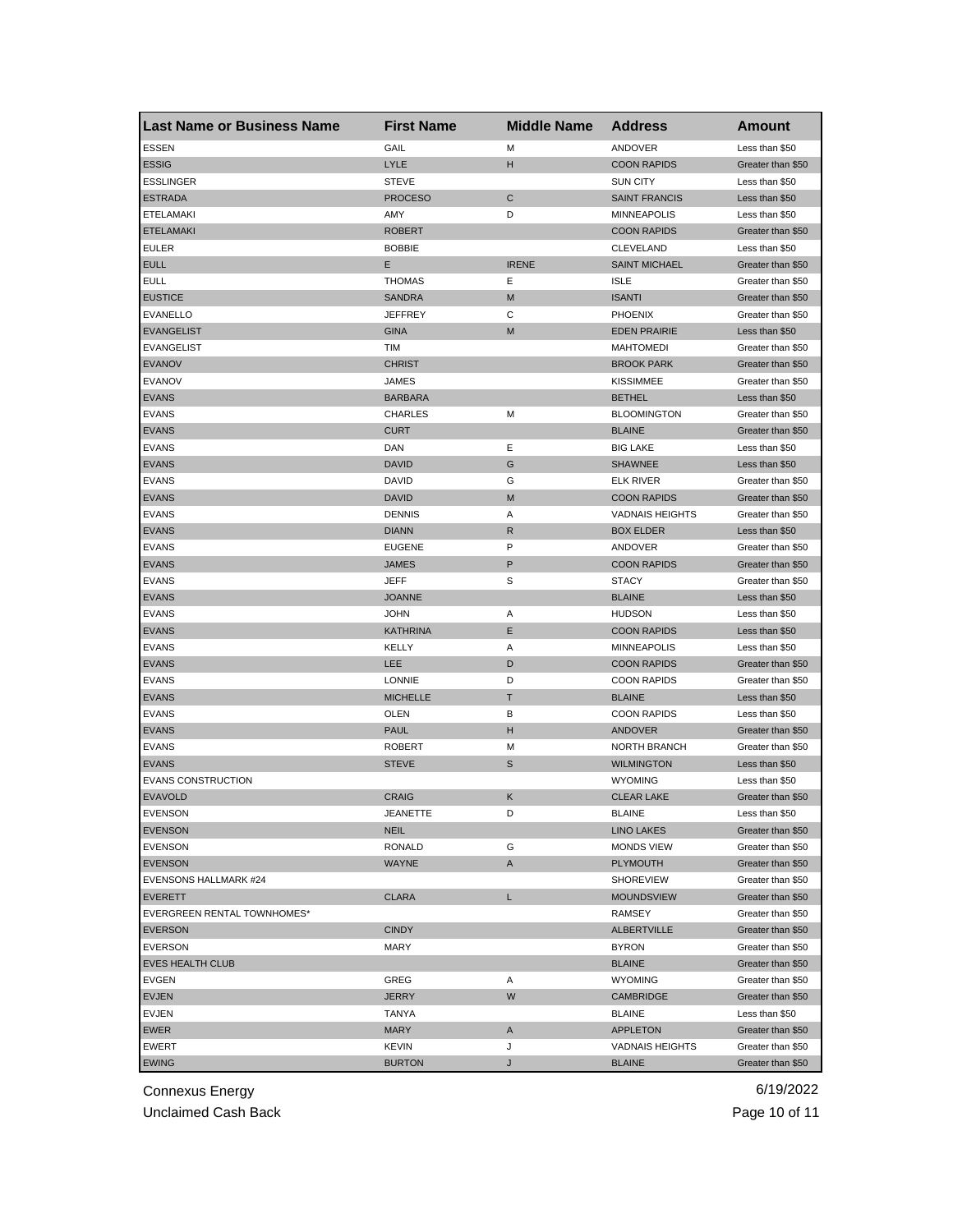| <b>Last Name or Business Name</b> | <b>First Name</b> | <b>Middle Name</b> | <b>Address</b>         | <b>Amount</b>     |
|-----------------------------------|-------------------|--------------------|------------------------|-------------------|
| <b>ESSEN</b>                      | GAIL              | M                  | ANDOVER                | Less than \$50    |
| <b>ESSIG</b>                      | LYLE              | н                  | <b>COON RAPIDS</b>     | Greater than \$50 |
| <b>ESSLINGER</b>                  | <b>STEVE</b>      |                    | <b>SUN CITY</b>        | Less than \$50    |
| <b>ESTRADA</b>                    | <b>PROCESO</b>    | ${\bf C}$          | <b>SAINT FRANCIS</b>   | Less than \$50    |
| ETELAMAKI                         | AMY               | D                  | <b>MINNEAPOLIS</b>     | Less than \$50    |
| <b>ETELAMAKI</b>                  | <b>ROBERT</b>     |                    | <b>COON RAPIDS</b>     | Greater than \$50 |
| <b>EULER</b>                      | <b>BOBBIE</b>     |                    | <b>CLEVELAND</b>       | Less than \$50    |
| <b>EULL</b>                       | Е                 | <b>IRENE</b>       | <b>SAINT MICHAEL</b>   | Greater than \$50 |
| <b>EULL</b>                       | <b>THOMAS</b>     | Ε                  | <b>ISLE</b>            | Greater than \$50 |
| <b>EUSTICE</b>                    | <b>SANDRA</b>     | M                  | <b>ISANTI</b>          | Greater than \$50 |
| <b>EVANELLO</b>                   | <b>JEFFREY</b>    | С                  | <b>PHOENIX</b>         | Greater than \$50 |
| <b>EVANGELIST</b>                 | <b>GINA</b>       | M                  | <b>EDEN PRAIRIE</b>    | Less than \$50    |
| <b>EVANGELIST</b>                 | TIM               |                    | <b>MAHTOMEDI</b>       | Greater than \$50 |
| <b>EVANOV</b>                     | <b>CHRIST</b>     |                    | <b>BROOK PARK</b>      | Greater than \$50 |
| <b>EVANOV</b>                     | JAMES             |                    | <b>KISSIMMEE</b>       | Greater than \$50 |
| <b>EVANS</b>                      | <b>BARBARA</b>    |                    | <b>BETHEL</b>          | Less than \$50    |
| <b>EVANS</b>                      | <b>CHARLES</b>    | M                  | <b>BLOOMINGTON</b>     | Greater than \$50 |
| <b>EVANS</b>                      | <b>CURT</b>       |                    | <b>BLAINE</b>          | Greater than \$50 |
| <b>EVANS</b>                      | DAN               | Ε                  | <b>BIG LAKE</b>        | Less than \$50    |
| <b>EVANS</b>                      | <b>DAVID</b>      | G                  | <b>SHAWNEE</b>         | Less than \$50    |
| <b>EVANS</b>                      | DAVID             | G                  | <b>ELK RIVER</b>       | Greater than \$50 |
| <b>EVANS</b>                      | <b>DAVID</b>      | M                  | <b>COON RAPIDS</b>     | Greater than \$50 |
| <b>EVANS</b>                      | <b>DENNIS</b>     | Α                  | <b>VADNAIS HEIGHTS</b> | Greater than \$50 |
| <b>EVANS</b>                      | <b>DIANN</b>      | R                  | <b>BOX ELDER</b>       | Less than \$50    |
| <b>EVANS</b>                      | <b>EUGENE</b>     | P                  | ANDOVER                | Greater than \$50 |
| <b>EVANS</b>                      | <b>JAMES</b>      | P                  | <b>COON RAPIDS</b>     | Greater than \$50 |
| <b>EVANS</b>                      | JEFF              | S                  | <b>STACY</b>           | Greater than \$50 |
| <b>EVANS</b>                      | <b>JOANNE</b>     |                    | <b>BLAINE</b>          | Less than \$50    |
| <b>EVANS</b>                      | <b>JOHN</b>       | Α                  | <b>HUDSON</b>          | Less than \$50    |
| <b>EVANS</b>                      | KATHRINA          | E                  | <b>COON RAPIDS</b>     | Less than \$50    |
| <b>EVANS</b>                      | KELLY             | Α                  | <b>MINNEAPOLIS</b>     | Less than \$50    |
| <b>EVANS</b>                      | LEE               | D                  | <b>COON RAPIDS</b>     | Greater than \$50 |
| <b>EVANS</b>                      | LONNIE            | D                  | <b>COON RAPIDS</b>     | Greater than \$50 |
| <b>EVANS</b>                      | <b>MICHELLE</b>   | Т                  | <b>BLAINE</b>          | Less than \$50    |
| <b>EVANS</b>                      | OLEN              | в                  | <b>COON RAPIDS</b>     | Less than \$50    |
| <b>EVANS</b>                      | PAUL              | н                  | <b>ANDOVER</b>         | Greater than \$50 |
| <b>EVANS</b>                      | <b>ROBERT</b>     | M                  | <b>NORTH BRANCH</b>    | Greater than \$50 |
| <b>EVANS</b>                      | <b>STEVE</b>      | S                  | <b>WILMINGTON</b>      | Less than \$50    |
| <b>EVANS CONSTRUCTION</b>         |                   |                    | <b>WYOMING</b>         | Less than \$50    |
| <b>EVAVOLD</b>                    | <b>CRAIG</b>      | Κ                  | <b>CLEAR LAKE</b>      | Greater than \$50 |
| EVENSON                           | JEANEIIE          |                    | <b>BLAINE</b>          | Less than \$50    |
| <b>EVENSON</b>                    | <b>NEIL</b>       |                    | <b>LINO LAKES</b>      | Greater than \$50 |
| <b>EVENSON</b>                    | <b>RONALD</b>     | G                  | <b>MONDS VIEW</b>      | Greater than \$50 |
| <b>EVENSON</b>                    | WAYNE             | A                  | <b>PLYMOUTH</b>        | Greater than \$50 |
| EVENSONS HALLMARK #24             |                   |                    | <b>SHOREVIEW</b>       | Greater than \$50 |
| <b>EVERETT</b>                    | <b>CLARA</b>      | L                  | <b>MOUNDSVIEW</b>      | Greater than \$50 |
| EVERGREEN RENTAL TOWNHOMES*       |                   |                    | RAMSEY                 | Greater than \$50 |
| <b>EVERSON</b>                    | <b>CINDY</b>      |                    | ALBERTVILLE            | Greater than \$50 |
| <b>EVERSON</b>                    | MARY              |                    | <b>BYRON</b>           | Greater than \$50 |
| <b>EVES HEALTH CLUB</b>           |                   |                    | <b>BLAINE</b>          | Greater than \$50 |
| EVGEN                             | GREG              | Α                  | <b>WYOMING</b>         | Greater than \$50 |
| <b>EVJEN</b>                      | <b>JERRY</b>      | W                  | <b>CAMBRIDGE</b>       | Greater than \$50 |
| EVJEN                             | TANYA             |                    | <b>BLAINE</b>          | Less than \$50    |
| EWER                              | MARY              | A                  | <b>APPLETON</b>        | Greater than \$50 |
| <b>EWERT</b>                      | KEVIN             | J                  | <b>VADNAIS HEIGHTS</b> | Greater than \$50 |
| <b>EWING</b>                      | <b>BURTON</b>     | J                  | <b>BLAINE</b>          | Greater than \$50 |
|                                   |                   |                    |                        |                   |

Unclaimed Cash Back **Page 10 of 11**